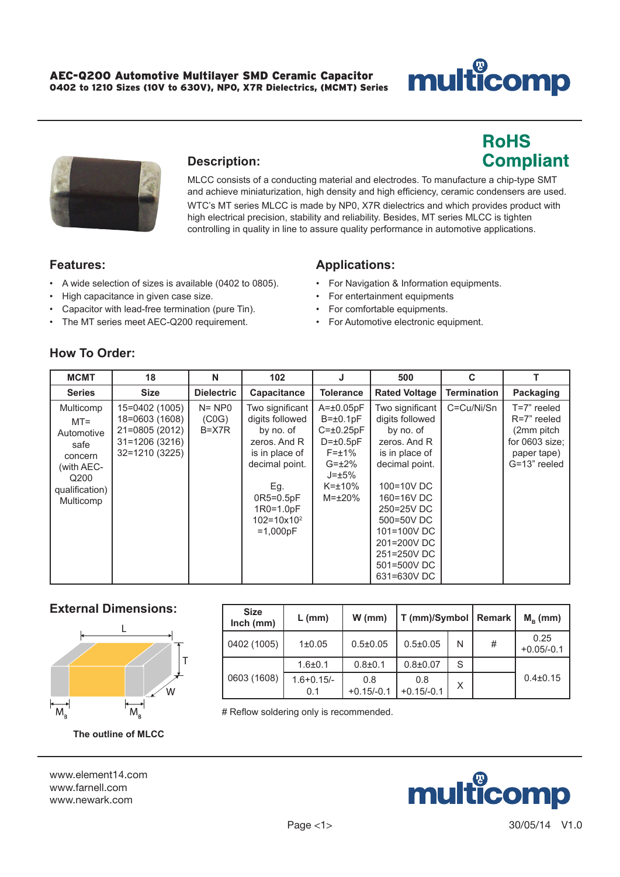# **Ilticomp** nu

**RoHS** 

**Compliant** 



### **Description:**

MLCC consists of a conducting material and electrodes. To manufacture a chip-type SMT and achieve miniaturization, high density and high efficiency, ceramic condensers are used.

WTC's MT series MLCC is made by NP0, X7R dielectrics and which provides product with high electrical precision, stability and reliability. Besides, MT series MLCC is tighten controlling in quality in line to assure quality performance in automotive applications.

### **Features:**

- A wide selection of sizes is available (0402 to 0805).
- High capacitance in given case size.
- Capacitor with lead-free termination (pure Tin).
- The MT series meet AEC-Q200 requirement.

### **Applications:**

- For Navigation & Information equipments.
- For entertainment equipments
- For comfortable equipments.
- For Automotive electronic equipment.

## **How To Order:**

| <b>MCMT</b>                                                                                               | 18                                                                                        | N                                            | 102                                                                                                                                                                              |                                                                                                                                                            | 500                                                                                                                                                                                                                                    | C                  |                                                                                           |
|-----------------------------------------------------------------------------------------------------------|-------------------------------------------------------------------------------------------|----------------------------------------------|----------------------------------------------------------------------------------------------------------------------------------------------------------------------------------|------------------------------------------------------------------------------------------------------------------------------------------------------------|----------------------------------------------------------------------------------------------------------------------------------------------------------------------------------------------------------------------------------------|--------------------|-------------------------------------------------------------------------------------------|
| <b>Series</b>                                                                                             | <b>Size</b>                                                                               | <b>Dielectric</b>                            | Capacitance                                                                                                                                                                      | <b>Tolerance</b>                                                                                                                                           | <b>Rated Voltage</b>                                                                                                                                                                                                                   | <b>Termination</b> | Packaging                                                                                 |
| Multicomp<br>$MT =$<br>Automotive<br>safe<br>concern<br>(with AEC-<br>Q200<br>qualification)<br>Multicomp | 15=0402 (1005)<br>18=0603 (1608)<br>21=0805 (2012)<br>$31 = 1206(3216)$<br>32=1210 (3225) | $N = NP0$<br>(C <sub>0</sub> G)<br>$B = X7R$ | Two significant<br>digits followed<br>by no. of<br>zeros. And R<br>is in place of<br>decimal point.<br>Eg.<br>$OR5=0.5pF$<br>$1R0=1.0pF$<br>$102 = 10 \times 10^2$<br>$=1,000pF$ | $A = \pm 0.05pF$<br>$B = \pm 0.1pF$<br>$C = \pm 0.25pF$<br>$D = \pm 0.5pF$<br>$F = \pm 1\%$<br>$G=\pm 2\%$<br>$J = \pm 5\%$<br>$K=+10\%$<br>$M = \pm 20\%$ | Two significant<br>digits followed<br>by no. of<br>zeros, And R<br>is in place of<br>decimal point.<br>100=10V DC<br>160=16V DC<br>250=25V DC<br>500=50V DC<br>101=100V DC<br>201=200V DC<br>251=250V DC<br>501=500V DC<br>631=630V DC | C=Cu/Ni/Sn         | T=7" reeled<br>R=7" reeled<br>(2mm pitch<br>for 0603 size;<br>paper tape)<br>G=13" reeled |

### **External Dimensions:**



| <b>Size</b><br>$lnch$ (mm) | $L$ (mm)              | $W$ (mm)            | $T$ (mm)/Symbol          |   | <b>Remark</b> | $M_{\rm B}$ (mm)     |
|----------------------------|-----------------------|---------------------|--------------------------|---|---------------|----------------------|
| 0402 (1005)                | $1\pm 0.05$           | $0.5 \pm 0.05$      | $0.5 \pm 0.05$           | N | #             | 0.25<br>$+0.05/-0.1$ |
|                            | $1.6 + 0.1$           | $0.8 + 0.1$         | $0.8 + 0.07$             | S |               |                      |
| 0603 (1608)                | $1.6 + 0.15/-$<br>0.1 | 0.8<br>$+0.15/-0.1$ | 0.8<br>X<br>$+0.15/-0.1$ |   |               | $0.4 \pm 0.15$       |

# Reflow soldering only is recommended.

**The outline of MLCC**

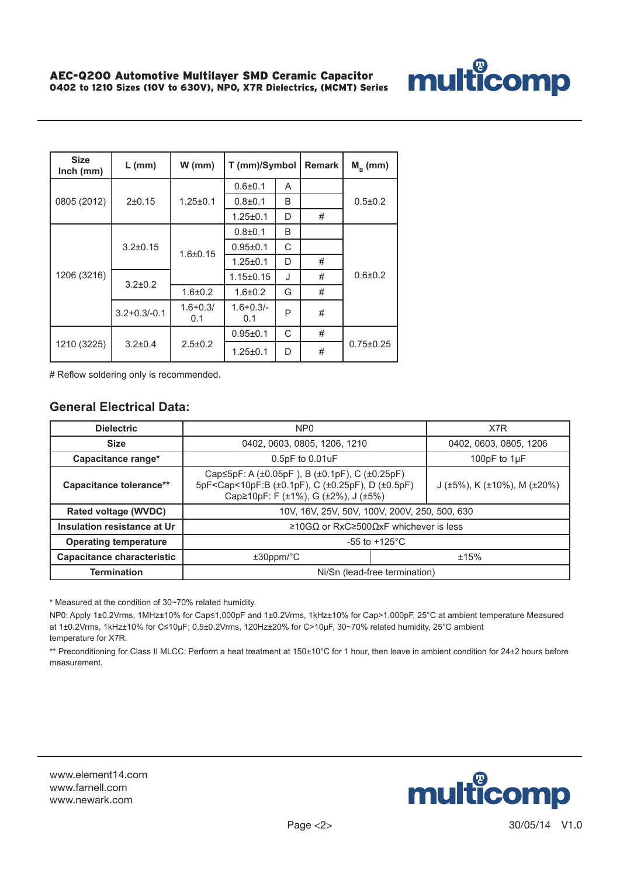

| <b>Size</b><br>$lnch$ (mm) | $L$ (mm)           | $W$ (mm)            | T (mm)/Symbol       |   | <b>Remark</b> | $Mn$ (mm)       |  |
|----------------------------|--------------------|---------------------|---------------------|---|---------------|-----------------|--|
|                            |                    | $1.25 \pm 0.1$      | $0.6 + 0.1$         | A |               | $0.5 + 0.2$     |  |
| 0805 (2012)                | 2±0.15             |                     | $0.8 + 0.1$         | B |               |                 |  |
|                            |                    |                     | $1.25 \pm 0.1$      | D | #             |                 |  |
|                            |                    | $1.6 + 0.15$        | $0.8 + 0.1$         | B |               |                 |  |
|                            | $3.2 \pm 0.15$     |                     | $0.95 + 0.1$        | C |               |                 |  |
|                            |                    |                     | $1.25 \pm 0.1$      | D | #             |                 |  |
| 1206 (3216)                | $3.2 \pm 0.2$      |                     | $1.15 \pm 0.15$     | J | #             | $0.6 + 0.2$     |  |
|                            |                    | $1.6 + 0.2$         | $1.6 + 0.2$         | G | #             |                 |  |
|                            | $3.2 + 0.3 / -0.1$ | $1.6 + 0.3/$<br>0.1 | $1.6 + 0.3/$<br>0.1 | P | #             |                 |  |
|                            |                    |                     | $0.95 + 0.1$        | C | #             |                 |  |
| 1210 (3225)                | $3.2 \pm 0.4$      | $2.5 \pm 0.2$       | $1.25 \pm 0.1$      | D | #             | $0.75 \pm 0.25$ |  |

# Reflow soldering only is recommended.

### **General Electrical Data:**

| <b>Dielectric</b>                 | NP <sub>0</sub>                                                                                                                                                                                |  | X7R                                           |  |  |
|-----------------------------------|------------------------------------------------------------------------------------------------------------------------------------------------------------------------------------------------|--|-----------------------------------------------|--|--|
| <b>Size</b>                       | 0402, 0603, 0805, 1206, 1210                                                                                                                                                                   |  | 0402, 0603, 0805, 1206                        |  |  |
| Capacitance range*                | $0.5pF$ to $0.01uF$                                                                                                                                                                            |  | 100pF to 1µF                                  |  |  |
| Capacitance tolerance**           | Cap $\leq$ 5pF: A ( $\pm$ 0.05pF), B ( $\pm$ 0.1pF), C ( $\pm$ 0.25pF)<br>5pF <cap<10pf:b (±0.1pf),="" (±0.25pf),="" (±0.5pf)<br="" c="" d="">Cap≥10pF: F (±1%), G (±2%), J (±5%)</cap<10pf:b> |  | J ( $\pm$ 5%), K ( $\pm$ 10%), M ( $\pm$ 20%) |  |  |
| Rated voltage (WVDC)              | 10V, 16V, 25V, 50V, 100V, 200V, 250, 500, 630                                                                                                                                                  |  |                                               |  |  |
| Insulation resistance at Ur       | ≥10GΩ or RxC≥500ΩxF whichever is less                                                                                                                                                          |  |                                               |  |  |
| <b>Operating temperature</b>      | $-55$ to $+125^{\circ}$ C                                                                                                                                                                      |  |                                               |  |  |
| <b>Capacitance characteristic</b> | $±30$ ppm/ $°C$<br>±15%                                                                                                                                                                        |  |                                               |  |  |
| <b>Termination</b>                | Ni/Sn (lead-free termination)                                                                                                                                                                  |  |                                               |  |  |

\* Measured at the condition of 30~70% related humidity.

NP0: Apply 1±0.2Vrms, 1MHz±10% for Cap≤1,000pF and 1±0.2Vrms, 1kHz±10% for Cap>1,000pF, 25°C at ambient temperature Measured at 1±0.2Vrms, 1kHz±10% for C≤10µF; 0.5±0.2Vrms, 120Hz±20% for C>10µF, 30~70% related humidity, 25°C ambient temperature for X7R.

\*\* Preconditioning for Class II MLCC: Perform a heat treatment at 150±10°C for 1 hour, then leave in ambient condition for 24±2 hours before measurement.

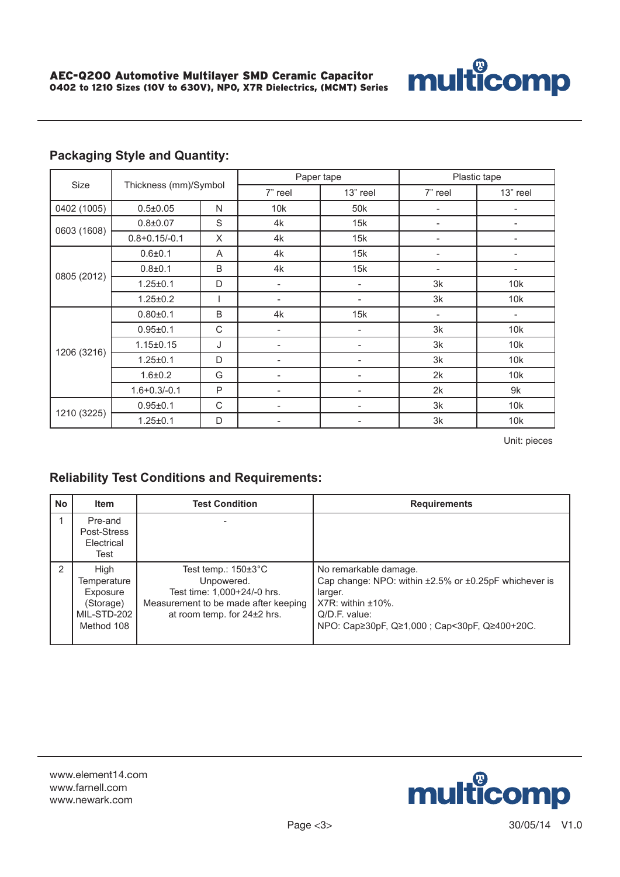

|             | Thickness (mm)/Symbol |   | Paper tape |                 | Plastic tape |                          |  |
|-------------|-----------------------|---|------------|-----------------|--------------|--------------------------|--|
| Size        |                       |   | 7" reel    | 13" reel        | 7" reel      | 13" reel                 |  |
| 0402 (1005) | $0.5 \pm 0.05$        | N | 10k        | 50 <sub>k</sub> |              |                          |  |
| 0603 (1608) | $0.8 + 0.07$          | S | 4k         | 15k             | ٠            | ۰                        |  |
|             | $0.8 + 0.15/-0.1$     | X | 4k         | 15k             | ۰            | ۰                        |  |
|             | $0.6 + 0.1$           | A | 4k         | 15k             |              |                          |  |
|             | $0.8 + 0.1$           | B | 4k         | 15k             |              |                          |  |
| 0805 (2012) | $1.25 \pm 0.1$        | D |            |                 | 3k           | 10k                      |  |
|             | $1.25 \pm 0.2$        |   |            | -               | 3k           | 10k                      |  |
|             | $0.80{\pm}0.1$        | B | 4k         | 15k             | ٠            | $\overline{\phantom{a}}$ |  |
|             | $0.95 \pm 0.1$        | C |            |                 | 3k           | 10k                      |  |
|             | $1.15 \pm 0.15$       | J |            |                 | 3k           | 10k                      |  |
| 1206 (3216) | $1.25 \pm 0.1$        | D |            |                 | 3k           | 10k                      |  |
|             | $1.6 + 0.2$           | G |            | Ξ.              | 2k           | 10k                      |  |
|             | $1.6 + 0.3 - 0.1$     | P |            |                 | 2k           | 9k                       |  |
|             | $0.95 \pm 0.1$        | C |            |                 | 3k           | 10k                      |  |
| 1210 (3225) | $1.25 \pm 0.1$        | D |            |                 | 3k           | 10k                      |  |

Unit: pieces

multicomp

## **Reliability Test Conditions and Requirements:**

| <b>No</b> | <b>Item</b>                                                               | <b>Test Condition</b>                                                                                                                               | <b>Requirements</b>                                                                                                                                                                                    |
|-----------|---------------------------------------------------------------------------|-----------------------------------------------------------------------------------------------------------------------------------------------------|--------------------------------------------------------------------------------------------------------------------------------------------------------------------------------------------------------|
|           | Pre-and<br>Post-Stress<br>Electrical<br>Test                              |                                                                                                                                                     |                                                                                                                                                                                                        |
| 2         | High<br>Temperature<br>Exposure<br>(Storage)<br>MIL-STD-202<br>Method 108 | Test temp.: $150\pm3^{\circ}$ C<br>Unpowered.<br>Test time: 1,000+24/-0 hrs.<br>Measurement to be made after keeping<br>at room temp. for 24±2 hrs. | No remarkable damage.<br>Cap change: NPO: within $\pm 2.5\%$ or $\pm 0.25pF$ whichever is<br>larger.<br>$X7R$ : within $\pm 10\%$ .<br>$Q/D.F.$ value:<br>NPO: Cap≥30pF, Q≥1,000; Cap<30pF, Q≥400+20C. |

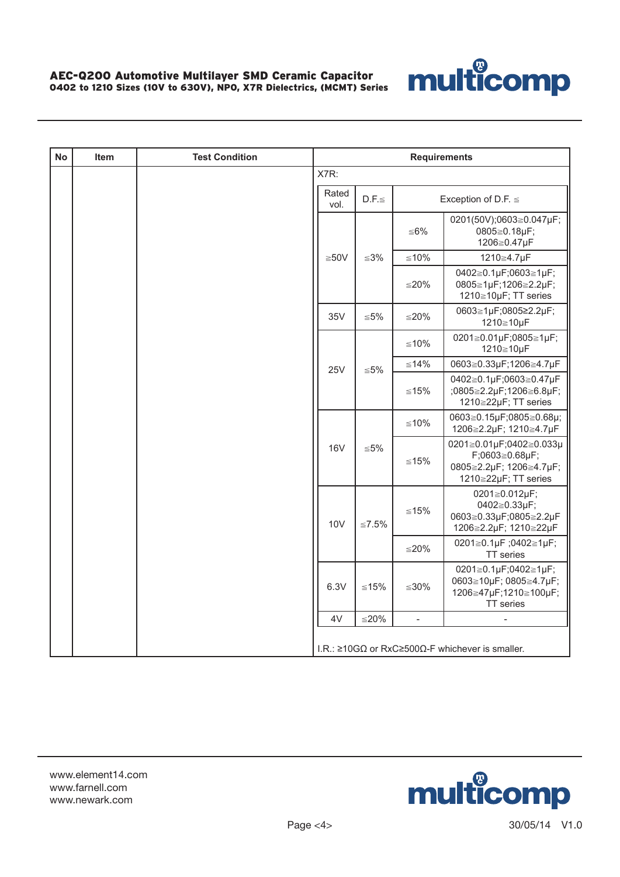

| <b>No</b> | <b>Item</b> | <b>Test Condition</b> | <b>Requirements</b> |               |             |                |                                                                                              |  |  |  |
|-----------|-------------|-----------------------|---------------------|---------------|-------------|----------------|----------------------------------------------------------------------------------------------|--|--|--|
|           |             |                       |                     | X7R:          |             |                |                                                                                              |  |  |  |
|           |             |                       |                     | Rated<br>vol. | $D.F. \leq$ |                | Exception of D.F. $\leq$                                                                     |  |  |  |
|           |             |                       |                     |               |             | ≦6%            | 0201(50V);0603≧0.047µF;<br>0805≧0.18µF;<br>1206≧0.47µF                                       |  |  |  |
|           |             |                       |                     | $≥50V$        | $\leq 3\%$  | $≤10%$         | 1210≧4.7µF                                                                                   |  |  |  |
|           |             |                       |                     |               |             | $≤20%$         | 0402≧0.1µF;0603≧1µF;<br>0805≧1µF;1206≧2.2µF;<br>1210≧10µF; TT series                         |  |  |  |
|           |             |                       |                     | 35V           | $\leq 5\%$  | ≤20%           | 0603≧1µF;0805≥2.2µF;<br>1210≧10µF                                                            |  |  |  |
|           |             |                       |                     | 25V           |             | ≤10%           | 0201≧0.01µF;0805≧1µF;<br>1210≧10µF                                                           |  |  |  |
|           |             |                       |                     |               | $≤ 5%$      | $≤14%$         | 0603≧0.33µF;1206≧4.7µF                                                                       |  |  |  |
|           |             |                       |                     |               |             | ≤15%           | 0402≧0.1µF;0603≧0.47µF<br>;0805≧2.2µF;1206≧6.8µF;<br>1210≧22µF; TT series                    |  |  |  |
|           |             |                       |                     | <b>16V</b>    |             | $≤10%$         | 0603≧0.15µF;0805≧0.68µ;<br>1206≧2.2µF; 1210≧4.7µF                                            |  |  |  |
|           |             |                       |                     |               | ${\leq}5\%$ | $≤15%$         | 0201≧0.01µF;0402≧0.033µ<br>F;0603≧0.68µF;<br>0805≧2.2µF; 1206≧4.7µF;<br>1210≧22µF; TT series |  |  |  |
|           |             |                       |                     | <b>10V</b>    | $≤7.5%$     | $≤15%$         | 0201≧0.012µF;<br>0402≧0.33µF;<br>0603≧0.33µF;0805≧2.2µF<br>1206≧2.2µF; 1210≧22µF             |  |  |  |
|           |             |                       |                     |               |             | $≤20%$         | 0201≧0.1µF;0402≧1µF;<br>TT series                                                            |  |  |  |
|           |             |                       |                     | 6.3V          | $≤15%$      | $≤30\%$        | 0201≧0.1µF;0402≧1µF;<br>0603≧10µF; 0805≧4.7µF;<br>1206≧47µF;1210≧100µF;<br>TT series         |  |  |  |
|           |             |                       |                     | 4V            | $≤20%$      | $\overline{a}$ |                                                                                              |  |  |  |
|           |             |                       |                     |               |             |                | I.R.: $\geq 10 \text{G}\Omega$ or RxC $\geq 500 \Omega$ -F whichever is smaller.             |  |  |  |

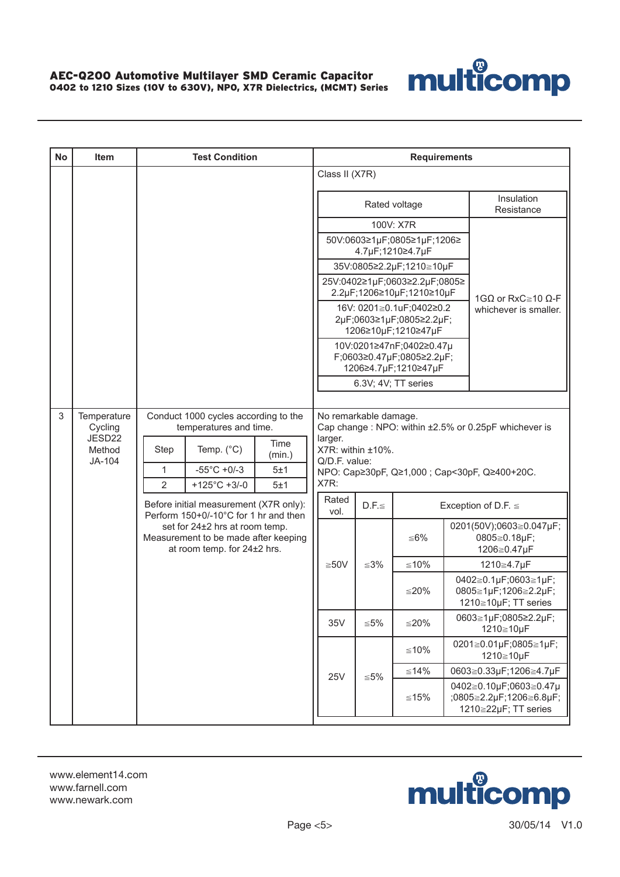

| <b>No</b> | <b>Item</b>                |      | <b>Test Condition</b>                                                                                 |                |                                                                                                         |                                                            | <b>Requirements</b>                               |                                               |                                                                           |  |
|-----------|----------------------------|------|-------------------------------------------------------------------------------------------------------|----------------|---------------------------------------------------------------------------------------------------------|------------------------------------------------------------|---------------------------------------------------|-----------------------------------------------|---------------------------------------------------------------------------|--|
|           |                            |      |                                                                                                       |                | Class II (X7R)                                                                                          |                                                            |                                                   |                                               |                                                                           |  |
|           |                            |      |                                                                                                       |                |                                                                                                         |                                                            | Rated voltage                                     |                                               | Insulation<br>Resistance                                                  |  |
|           |                            |      |                                                                                                       |                |                                                                                                         |                                                            | 100V: X7R                                         |                                               |                                                                           |  |
|           |                            |      |                                                                                                       |                |                                                                                                         |                                                            | 50V:0603≥1µF;0805≥1µF;1206≥<br>4.7µF;1210≥4.7µF   |                                               |                                                                           |  |
|           |                            |      |                                                                                                       |                |                                                                                                         | 35V:0805≥2.2µF;1210≧10µF                                   |                                                   |                                               |                                                                           |  |
|           |                            |      |                                                                                                       |                |                                                                                                         | 25V:0402≥1µF;0603≥2.2µF;0805≥<br>2.2µF;1206≥10µF;1210≥10µF |                                                   | 1G $\Omega$ or RxC $\geq$ 10 $\Omega$ -F      |                                                                           |  |
|           |                            |      |                                                                                                       |                | 16V: 0201≧0.1uF;0402≥0.2<br>2µF;0603≥1µF;0805≥2.2µF;<br>1206≥10µF;1210≥47µF<br>10V:0201≥47nF;0402≥0.47µ |                                                            |                                                   |                                               | whichever is smaller.                                                     |  |
|           |                            |      |                                                                                                       |                |                                                                                                         |                                                            | F;0603≥0.47µF;0805≥2.2µF;<br>1206≥4.7µF;1210≥47µF |                                               |                                                                           |  |
|           |                            |      |                                                                                                       |                |                                                                                                         | 6.3V; 4V; TT series                                        |                                                   |                                               |                                                                           |  |
|           |                            |      |                                                                                                       |                |                                                                                                         |                                                            |                                                   |                                               |                                                                           |  |
| 3         | Temperature<br>Cycling     |      | Conduct 1000 cycles according to the<br>temperatures and time.                                        |                |                                                                                                         | No remarkable damage.                                      |                                                   |                                               | Cap change: NPO: within ±2.5% or 0.25pF whichever is                      |  |
|           | JESD22<br>Method<br>JA-104 | Step | Temp. $(^{\circ}C)$                                                                                   | Time<br>(min.) | larger.<br>X7R: within ±10%.<br>Q/D.F. value:                                                           |                                                            |                                                   |                                               |                                                                           |  |
|           |                            | 1    | $-55^{\circ}$ C +0/-3                                                                                 | 5±1            |                                                                                                         |                                                            |                                                   | NPO: Cap≥30pF, Q≥1,000 ; Cap<30pF, Q≥400+20C. |                                                                           |  |
|           |                            | 2    | $+125^{\circ}$ C +3/-0                                                                                | 5±1            | X7R:<br>Rated                                                                                           |                                                            |                                                   |                                               |                                                                           |  |
|           |                            |      | Before initial measurement (X7R only):<br>Perform 150+0/-10°C for 1 hr and then                       |                | vol.                                                                                                    | $D.F. \leq$                                                |                                                   |                                               | Exception of D.F. $\leq$                                                  |  |
|           |                            |      | set for 24±2 hrs at room temp.<br>Measurement to be made after keeping<br>at room temp. for 24±2 hrs. |                |                                                                                                         |                                                            | ≤6%                                               |                                               | 0201(50V);0603≧0.047µF;<br>0805≧0.18µF;<br>1206≧0.47µF                    |  |
|           |                            |      |                                                                                                       |                | $≥50V$                                                                                                  | $≤3%$                                                      | $≤10%$                                            |                                               | 1210≧4.7µF                                                                |  |
|           |                            |      |                                                                                                       |                |                                                                                                         |                                                            | ≤20%                                              |                                               | 0402≧0.1µF;0603≧1µF;<br>0805≧1µF;1206≧2.2µF;<br>1210≧10µF; TT series      |  |
|           |                            |      |                                                                                                       |                | 35V                                                                                                     | ${\leq}5\%$                                                | $≤20\%$                                           |                                               | 0603≧1µF;0805≥2.2µF;<br>1210≧10µF                                         |  |
|           |                            |      |                                                                                                       |                |                                                                                                         | $≤10%$                                                     |                                                   | 0201≧0.01µF;0805≧1µF;<br>1210≧10µF            |                                                                           |  |
|           |                            |      |                                                                                                       |                | <b>25V</b>                                                                                              | $≤5\%$                                                     | $≤14\%$                                           |                                               | 0603≧0.33µF;1206≧4.7µF                                                    |  |
|           |                            |      |                                                                                                       |                |                                                                                                         |                                                            | ≤15%                                              |                                               | 0402≧0.10µF;0603≧0.47µ<br>;0805≧2.2µF;1206≧6.8µF;<br>1210≧22µF; TT series |  |

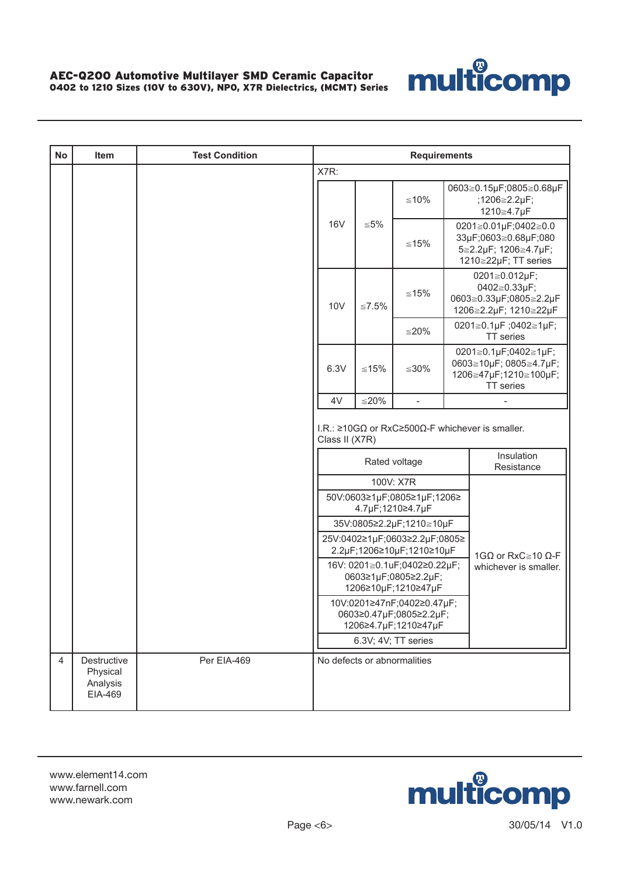

| <b>No</b>      | Item                                           | <b>Test Condition</b> | <b>Requirements</b>                                                           |                             |                                                                             |  |                                                                                              |  |  |  |
|----------------|------------------------------------------------|-----------------------|-------------------------------------------------------------------------------|-----------------------------|-----------------------------------------------------------------------------|--|----------------------------------------------------------------------------------------------|--|--|--|
|                |                                                |                       | X7R:                                                                          |                             |                                                                             |  |                                                                                              |  |  |  |
|                |                                                |                       |                                                                               |                             | $≤10%$                                                                      |  | 0603≧0.15µF;0805≧0.68µF<br>;1206≧2.2µF;<br>1210≧4.7µF                                        |  |  |  |
|                |                                                |                       | <b>16V</b>                                                                    | $\leq 5\%$                  | $≤15%$                                                                      |  | 0201≧0.01µF;0402≧0.0<br>33µF;0603≧0.68µF;080<br>5≧2.2µF; 1206≧4.7µF;<br>1210≧22µF; TT series |  |  |  |
|                |                                                |                       | <b>10V</b>                                                                    | $≤7.5\%$                    | $≤15%$                                                                      |  | 0201≧0.012µF;<br>0402≧0.33µF;<br>0603≧0.33µF;0805≧2.2µF<br>1206≧2.2µF; 1210≧22µF             |  |  |  |
|                |                                                |                       |                                                                               |                             | ≦ $20%$                                                                     |  | 0201≧0.1µF;0402≧1µF;<br>TT series                                                            |  |  |  |
|                |                                                |                       | 6.3V                                                                          | $≤15%$                      | $≤30\%$                                                                     |  | 0201≧0.1µF;0402≧1µF;<br>0603≧10µF; 0805≧4.7µF;<br>1206≧47µF;1210≧100µF;<br>TT series         |  |  |  |
|                |                                                |                       | 4V                                                                            | $≤20%$                      |                                                                             |  |                                                                                              |  |  |  |
|                |                                                |                       |                                                                               | Class II (X7R)              |                                                                             |  | I.R.: $\geq 10 \text{G}\Omega$ or RxC $\geq 500 \Omega$ -F whichever is smaller.             |  |  |  |
|                |                                                |                       |                                                                               |                             | Rated voltage                                                               |  | Insulation<br>Resistance                                                                     |  |  |  |
|                |                                                |                       |                                                                               |                             | 100V: X7R                                                                   |  |                                                                                              |  |  |  |
|                |                                                |                       |                                                                               |                             | 50V:0603≥1µF;0805≥1µF;1206≥<br>4.7µF;1210≥4.7µF                             |  |                                                                                              |  |  |  |
|                |                                                |                       |                                                                               |                             | 35V:0805≥2.2µF;1210≧10µF                                                    |  |                                                                                              |  |  |  |
|                |                                                |                       |                                                                               |                             | 25V:0402≥1µF;0603≥2.2µF;0805≥<br>2.2µF;1206≥10µF;1210≥10µF                  |  | 1GΩ or RxC $\geq$ 10 Ω-F                                                                     |  |  |  |
|                |                                                |                       |                                                                               |                             | 16V: 0201≧0.1uF;0402≥0.22µF;<br>0603≥1µF;0805≥2.2µF;<br>1206≥10µF;1210≥47µF |  | whichever is smaller.                                                                        |  |  |  |
|                |                                                |                       | 10V:0201≥47nF;0402≥0.47µF;<br>0603≥0.47µF;0805≥2.2µF;<br>1206≥4.7µF;1210≥47µF |                             |                                                                             |  |                                                                                              |  |  |  |
|                |                                                |                       |                                                                               |                             | 6.3V; 4V; TT series                                                         |  |                                                                                              |  |  |  |
| $\overline{4}$ | Destructive<br>Physical<br>Analysis<br>EIA-469 | Per EIA-469           |                                                                               | No defects or abnormalities |                                                                             |  |                                                                                              |  |  |  |

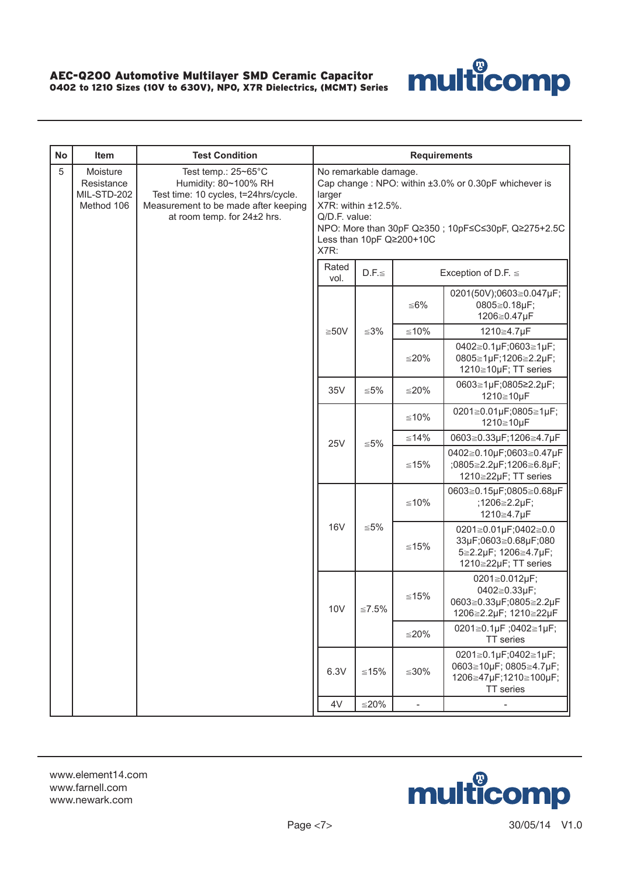

| <b>No</b> | Item                                                | <b>Test Condition</b>                                                                                                                                      |                                                                                                                                                                                                                           |             | <b>Requirements</b> |                                                                                              |  |  |  |
|-----------|-----------------------------------------------------|------------------------------------------------------------------------------------------------------------------------------------------------------------|---------------------------------------------------------------------------------------------------------------------------------------------------------------------------------------------------------------------------|-------------|---------------------|----------------------------------------------------------------------------------------------|--|--|--|
| 5         | Moisture<br>Resistance<br>MIL-STD-202<br>Method 106 | Test temp.: 25~65°C<br>Humidity: 80~100% RH<br>Test time: 10 cycles, t=24hrs/cycle.<br>Measurement to be made after keeping<br>at room temp. for 24±2 hrs. | No remarkable damage.<br>Cap change: NPO: within ±3.0% or 0.30pF whichever is<br>larger<br>X7R: within ±12.5%.<br>Q/D.F. value:<br>NPO: More than 30pF Q≥350; 10pF≤C≤30pF, Q≥275+2.5C<br>Less than 10pF Q≥200+10C<br>X7R: |             |                     |                                                                                              |  |  |  |
|           |                                                     |                                                                                                                                                            | Rated<br>vol.                                                                                                                                                                                                             | $D.F. \leq$ |                     | Exception of D.F. $\leq$                                                                     |  |  |  |
|           |                                                     |                                                                                                                                                            |                                                                                                                                                                                                                           |             | ≦6%                 | 0201(50V);0603≧0.047µF;<br>0805≧0.18µF;<br>1206≧0.47µF                                       |  |  |  |
|           |                                                     |                                                                                                                                                            | $≥50V$                                                                                                                                                                                                                    | $≤3%$       | $≤10%$              | 1210≧4.7µF                                                                                   |  |  |  |
|           |                                                     |                                                                                                                                                            |                                                                                                                                                                                                                           |             | $≤20%$              | 0402≧0.1µF;0603≧1µF;<br>0805≧1µF;1206≧2.2µF;<br>1210≧10µF; TT series                         |  |  |  |
|           |                                                     |                                                                                                                                                            | 35V                                                                                                                                                                                                                       | $\leq 5\%$  | $≤20%$              | 0603≧1µF;0805≥2.2µF;<br>1210≧10µF                                                            |  |  |  |
|           |                                                     |                                                                                                                                                            |                                                                                                                                                                                                                           | $\leq 5\%$  | $≤10%$              | 0201≧0.01µF;0805≧1µF;<br>1210≧10µF                                                           |  |  |  |
|           |                                                     |                                                                                                                                                            | <b>25V</b>                                                                                                                                                                                                                |             | $≤14%$              | 0603≧0.33µF;1206≧4.7µF                                                                       |  |  |  |
|           |                                                     |                                                                                                                                                            |                                                                                                                                                                                                                           |             | $≤15%$              | 0402≧0.10µF;0603≧0.47µF<br>;0805≧2.2µF;1206≧6.8µF;<br>1210≧22µF; TT series                   |  |  |  |
|           |                                                     |                                                                                                                                                            |                                                                                                                                                                                                                           |             | $≤10%$              | 0603≧0.15µF;0805≧0.68µF<br>;1206≧2.2µF;<br>1210≧4.7µF                                        |  |  |  |
|           |                                                     |                                                                                                                                                            | <b>16V</b>                                                                                                                                                                                                                | $\leq 5\%$  | $≤15%$              | 0201≧0.01µF;0402≧0.0<br>33µF;0603≧0.68µF;080<br>5≧2.2µF; 1206≧4.7µF;<br>1210≧22µF; TT series |  |  |  |
|           |                                                     |                                                                                                                                                            | 10V                                                                                                                                                                                                                       | $≤7.5\%$    | $≤15%$              | 0201≧0.012µF;<br>0402≧0.33µF;<br>0603≧0.33µF;0805≧2.2µF<br>1206≧2.2µF; 1210≧22µF             |  |  |  |
|           |                                                     |                                                                                                                                                            |                                                                                                                                                                                                                           |             | $≤20%$              | 0201≧0.1µF;0402≧1µF;<br>TT series                                                            |  |  |  |
|           |                                                     |                                                                                                                                                            | 6.3V                                                                                                                                                                                                                      | ≤15%        | $≤30\%$             | 0201≧0.1µF;0402≧1µF;<br>0603≧10µF; 0805≧4.7µF;<br>1206≧47µF;1210≧100µF;<br>TT series         |  |  |  |
|           |                                                     |                                                                                                                                                            | 4V                                                                                                                                                                                                                        | $≤20%$      | $\blacksquare$      |                                                                                              |  |  |  |

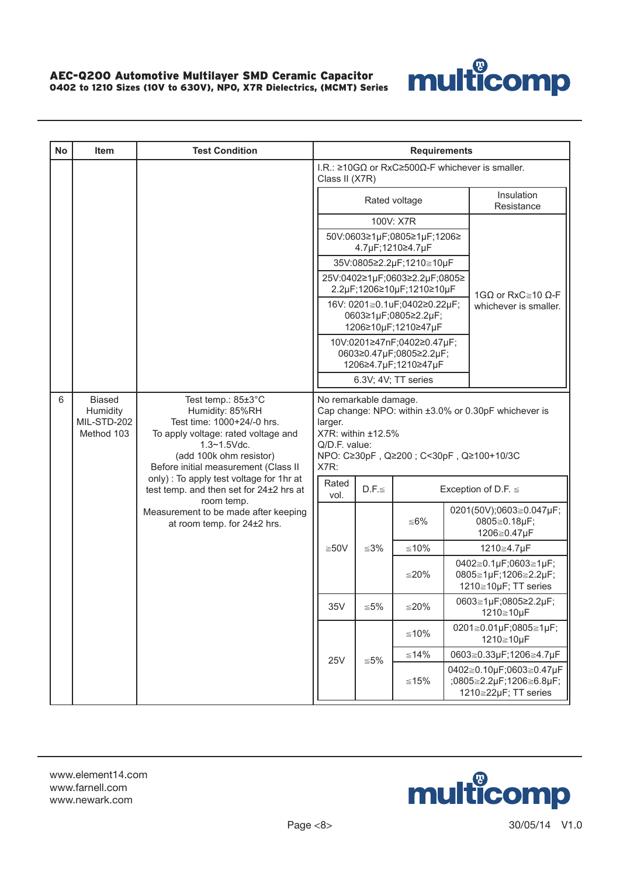

| <b>No</b> | Item                                  | <b>Test Condition</b>                                                                                                                                                       | <b>Requirements</b>                                                                                                                                                                |                                                                             |             |                                                 |                                                                            |                                                                                  |  |
|-----------|---------------------------------------|-----------------------------------------------------------------------------------------------------------------------------------------------------------------------------|------------------------------------------------------------------------------------------------------------------------------------------------------------------------------------|-----------------------------------------------------------------------------|-------------|-------------------------------------------------|----------------------------------------------------------------------------|----------------------------------------------------------------------------------|--|
|           |                                       |                                                                                                                                                                             |                                                                                                                                                                                    | Class II (X7R)                                                              |             |                                                 |                                                                            | I.R.: $\geq 10 \text{G}\Omega$ or RxC $\geq 500 \Omega$ -F whichever is smaller. |  |
|           |                                       |                                                                                                                                                                             |                                                                                                                                                                                    |                                                                             |             | Rated voltage                                   |                                                                            | Insulation<br>Resistance                                                         |  |
|           |                                       |                                                                                                                                                                             |                                                                                                                                                                                    |                                                                             |             | 100V: X7R                                       |                                                                            |                                                                                  |  |
|           |                                       |                                                                                                                                                                             |                                                                                                                                                                                    |                                                                             |             | 50V:0603≥1µF;0805≥1µF;1206≥<br>4.7µF;1210≥4.7µF |                                                                            |                                                                                  |  |
|           |                                       |                                                                                                                                                                             | 35V:0805≥2.2µF;1210≧10µF<br>25V:0402≥1µF;0603≥2.2µF;0805≥<br>2.2µF;1206≥10µF;1210≥10µF                                                                                             |                                                                             |             |                                                 |                                                                            |                                                                                  |  |
|           |                                       |                                                                                                                                                                             |                                                                                                                                                                                    |                                                                             |             |                                                 |                                                                            |                                                                                  |  |
|           |                                       |                                                                                                                                                                             |                                                                                                                                                                                    |                                                                             |             |                                                 |                                                                            | 1GΩ or RxC $\geq$ 10 Ω-F                                                         |  |
|           |                                       |                                                                                                                                                                             |                                                                                                                                                                                    | 16V: 0201≧0.1uF;0402≥0.22µF;<br>0603≥1µF;0805≥2.2µF;<br>1206≥10µF;1210≥47µF |             |                                                 |                                                                            | whichever is smaller.                                                            |  |
|           |                                       |                                                                                                                                                                             |                                                                                                                                                                                    | 10V:0201≥47nF;0402≥0.47µF;                                                  |             |                                                 |                                                                            |                                                                                  |  |
|           |                                       |                                                                                                                                                                             |                                                                                                                                                                                    | 0603≥0.47µF;0805≥2.2µF;<br>1206≥4.7µF;1210≥47µF                             |             |                                                 |                                                                            |                                                                                  |  |
|           |                                       |                                                                                                                                                                             | 6.3V; 4V; TT series                                                                                                                                                                |                                                                             |             |                                                 |                                                                            |                                                                                  |  |
| 6         | <b>Biased</b>                         | Test temp.: 85±3°C                                                                                                                                                          |                                                                                                                                                                                    |                                                                             |             |                                                 |                                                                            |                                                                                  |  |
|           | Humidity<br>MIL-STD-202<br>Method 103 | Humidity: 85%RH<br>Test time: 1000+24/-0 hrs.<br>To apply voltage: rated voltage and<br>$1.3 - 1.5$ Vdc.<br>(add 100k ohm resistor)<br>Before initial measurement (Class II | No remarkable damage.<br>Cap change: NPO: within ±3.0% or 0.30pF whichever is<br>larger.<br>X7R: within ±12.5%<br>Q/D.F. value:<br>NPO: C≥30pF, Q≥200; C<30pF, Q≥100+10/3C<br>X7R: |                                                                             |             |                                                 |                                                                            |                                                                                  |  |
|           |                                       | only) : To apply test voltage for 1hr at<br>test temp. and then set for 24±2 hrs at                                                                                         |                                                                                                                                                                                    | Rated<br>vol.                                                               | $D.F. \leq$ |                                                 |                                                                            | Exception of D.F. $\leq$                                                         |  |
|           |                                       | room temp.<br>Measurement to be made after keeping<br>at room temp. for 24±2 hrs.                                                                                           |                                                                                                                                                                                    |                                                                             |             | ≤6%                                             |                                                                            | 0201(50V);0603≧0.047µF;<br>0805≧0.18µF;<br>1206≧0.47µF                           |  |
|           |                                       |                                                                                                                                                                             |                                                                                                                                                                                    | $≥50V$                                                                      | $≤3%$       | $≤10%$                                          |                                                                            | 1210≧4.7µF                                                                       |  |
|           |                                       |                                                                                                                                                                             |                                                                                                                                                                                    |                                                                             |             | ≦ $20%$                                         |                                                                            | 0402≧0.1µF;0603≧1µF;<br>0805≧1µF;1206≧2.2µF;<br>1210≧10µF; TT series             |  |
|           |                                       |                                                                                                                                                                             |                                                                                                                                                                                    | 35V                                                                         | ${\leq}5\%$ | $≤20%$                                          |                                                                            | 0603≧1µF;0805≥2.2µF;<br>1210≧10µF                                                |  |
|           |                                       |                                                                                                                                                                             |                                                                                                                                                                                    |                                                                             |             | ≤10%                                            |                                                                            | 0201≧0.01µF;0805≧1µF;<br>1210≧10µF                                               |  |
|           |                                       |                                                                                                                                                                             |                                                                                                                                                                                    | <b>25V</b>                                                                  | $\leq 5\%$  | $≤14%$                                          |                                                                            | 0603≧0.33µF;1206≧4.7µF                                                           |  |
|           |                                       |                                                                                                                                                                             |                                                                                                                                                                                    |                                                                             | $≤15%$      |                                                 | 0402≧0.10µF;0603≧0.47µF<br>;0805≧2.2µF;1206≧6.8µF;<br>1210≧22µF; TT series |                                                                                  |  |

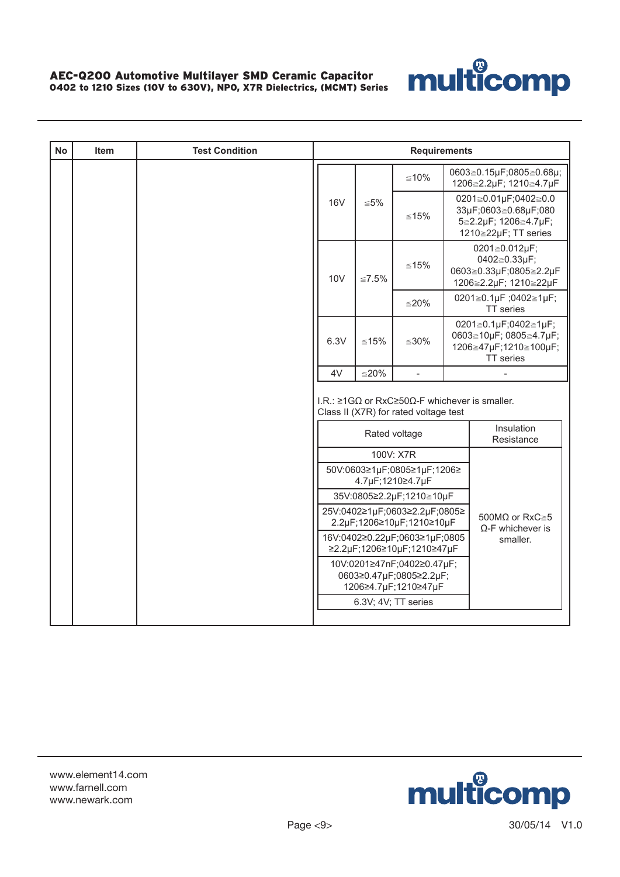

| <b>No</b> | <b>Item</b> | <b>Test Condition</b> | <b>Requirements</b>                                                           |              |                                                                                                                      |  |                                                                                              |  |  |
|-----------|-------------|-----------------------|-------------------------------------------------------------------------------|--------------|----------------------------------------------------------------------------------------------------------------------|--|----------------------------------------------------------------------------------------------|--|--|
|           |             |                       |                                                                               |              | $≤10%$                                                                                                               |  | 0603≧0.15µF;0805≧0.68µ;<br>1206≧2.2µF; 1210≧4.7µF                                            |  |  |
|           |             |                       | <b>16V</b>                                                                    | $\leq 5\%$   | $≤15%$                                                                                                               |  | 0201≧0.01µF;0402≧0.0<br>33µF;0603≧0.68µF;080<br>5≧2.2µF; 1206≧4.7µF;<br>1210≧22µF; TT series |  |  |
|           |             |                       | 10 <sub>V</sub>                                                               | $\leq 7.5\%$ | $≤15%$                                                                                                               |  | 0201≧0.012µF;<br>0402≧0.33µF;<br>0603≧0.33µF;0805≧2.2µF<br>1206≧2.2µF; 1210≧22µF             |  |  |
|           |             |                       |                                                                               |              | $≤20%$                                                                                                               |  | 0201≧0.1µF;0402≧1µF;<br>TT series                                                            |  |  |
|           |             |                       | 6.3V                                                                          | $≤15%$       | $≤30%$                                                                                                               |  | 0201≧0.1µF;0402≧1µF;<br>0603≧10µF; 0805≧4.7µF;<br>1206≧47µF;1210≧100µF;<br>TT series         |  |  |
|           |             |                       | 4V                                                                            | $≤20%$       | $\bar{\phantom{a}}$                                                                                                  |  |                                                                                              |  |  |
|           |             |                       |                                                                               |              | I.R.: $\geq$ 1G $\Omega$ or RxC $\geq$ 50 $\Omega$ -F whichever is smaller.<br>Class II (X7R) for rated voltage test |  |                                                                                              |  |  |
|           |             |                       |                                                                               |              | Rated voltage                                                                                                        |  | Insulation<br>Resistance                                                                     |  |  |
|           |             |                       |                                                                               |              | 100V: X7R                                                                                                            |  |                                                                                              |  |  |
|           |             |                       |                                                                               |              | 50V:0603≥1µF;0805≥1µF;1206≥<br>4.7µF;1210≥4.7µF                                                                      |  |                                                                                              |  |  |
|           |             |                       |                                                                               |              | 35V:0805≥2.2µF;1210≧10µF                                                                                             |  |                                                                                              |  |  |
|           |             |                       |                                                                               |              | 25V:0402≥1µF;0603≥2.2µF;0805≥<br>2.2µF;1206≥10µF;1210≥10µF                                                           |  | 500M $\Omega$ or RxC $\geq 5$<br>$\Omega$ -F whichever is                                    |  |  |
|           |             |                       | 16V:0402≥0.22µF;0603≥1µF;0805<br>≥2.2µF;1206≥10µF;1210≥47µF                   | smaller.     |                                                                                                                      |  |                                                                                              |  |  |
|           |             |                       | 10V:0201≥47nF;0402≥0.47µF;<br>0603≥0.47µF;0805≥2.2µF;<br>1206≥4.7µF;1210≥47µF |              |                                                                                                                      |  |                                                                                              |  |  |
|           |             |                       |                                                                               |              | 6.3V; 4V; TT series                                                                                                  |  |                                                                                              |  |  |
|           |             |                       |                                                                               |              |                                                                                                                      |  |                                                                                              |  |  |

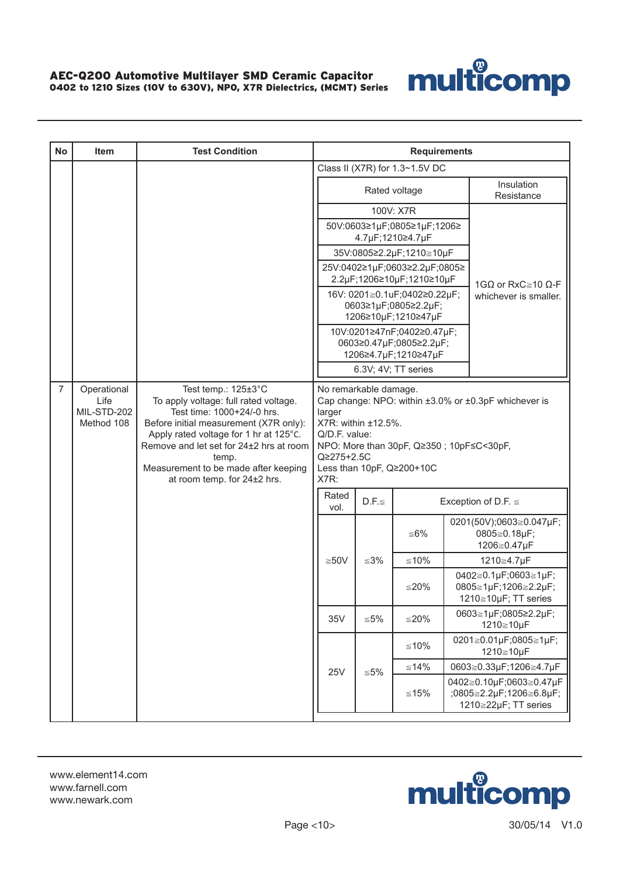

| <b>No</b>      | Item                                             | <b>Test Condition</b>                                                                                                                                                                                                                                                                                     |                                                                                                                                                                                                                                |                                                                               | <b>Requirements</b>                             |  |                                                                            |  |
|----------------|--------------------------------------------------|-----------------------------------------------------------------------------------------------------------------------------------------------------------------------------------------------------------------------------------------------------------------------------------------------------------|--------------------------------------------------------------------------------------------------------------------------------------------------------------------------------------------------------------------------------|-------------------------------------------------------------------------------|-------------------------------------------------|--|----------------------------------------------------------------------------|--|
|                |                                                  |                                                                                                                                                                                                                                                                                                           |                                                                                                                                                                                                                                |                                                                               | Class II (X7R) for 1.3~1.5V DC                  |  |                                                                            |  |
|                |                                                  |                                                                                                                                                                                                                                                                                                           |                                                                                                                                                                                                                                |                                                                               | Rated voltage                                   |  | Insulation<br>Resistance                                                   |  |
|                |                                                  |                                                                                                                                                                                                                                                                                                           |                                                                                                                                                                                                                                |                                                                               | 100V: X7R                                       |  |                                                                            |  |
|                |                                                  |                                                                                                                                                                                                                                                                                                           |                                                                                                                                                                                                                                |                                                                               | 50V:0603≥1µF;0805≥1µF;1206≥<br>4.7µF;1210≥4.7µF |  |                                                                            |  |
|                |                                                  |                                                                                                                                                                                                                                                                                                           |                                                                                                                                                                                                                                |                                                                               | 35V:0805≥2.2µF;1210≧10µF                        |  |                                                                            |  |
|                |                                                  |                                                                                                                                                                                                                                                                                                           | 25V:0402≥1µF;0603≥2.2µF;0805≥<br>2.2µF;1206≥10µF;1210≥10µF                                                                                                                                                                     |                                                                               |                                                 |  | 1GΩ or RxC ≥ 10 Ω-F                                                        |  |
|                |                                                  |                                                                                                                                                                                                                                                                                                           | 16V: 0201≧0.1uF;0402≥0.22µF;<br>0603≥1µF;0805≥2.2µF;<br>1206≥10µF;1210≥47µF                                                                                                                                                    |                                                                               |                                                 |  | whichever is smaller.                                                      |  |
|                |                                                  |                                                                                                                                                                                                                                                                                                           |                                                                                                                                                                                                                                | 10V:0201≥47nF;0402≥0.47µF;<br>0603≥0.47µF;0805≥2.2µF;<br>1206≥4.7µF;1210≥47µF |                                                 |  |                                                                            |  |
|                |                                                  |                                                                                                                                                                                                                                                                                                           |                                                                                                                                                                                                                                | 6.3V; 4V; TT series                                                           |                                                 |  |                                                                            |  |
| $\overline{7}$ | Operational<br>Life<br>MIL-STD-202<br>Method 108 | Test temp.: 125±3°C<br>To apply voltage: full rated voltage.<br>Test time: 1000+24/-0 hrs.<br>Before initial measurement (X7R only):<br>Apply rated voltage for 1 hr at 125°C.<br>Remove and let set for 24±2 hrs at room<br>temp.<br>Measurement to be made after keeping<br>at room temp. for 24±2 hrs. | No remarkable damage.<br>Cap change: NPO: within ±3.0% or ±0.3pF whichever is<br>larger<br>X7R: within ±12.5%.<br>Q/D.F. value:<br>NPO: More than 30pF, Q≥350; 10pF≤C<30pF,<br>Q≥275+2.5C<br>Less than 10pF, Q≥200+10C<br>X7R: |                                                                               |                                                 |  |                                                                            |  |
|                |                                                  |                                                                                                                                                                                                                                                                                                           | Rated<br>vol.                                                                                                                                                                                                                  | $D.F. \leq$                                                                   |                                                 |  | Exception of D.F. $\leq$                                                   |  |
|                |                                                  |                                                                                                                                                                                                                                                                                                           |                                                                                                                                                                                                                                |                                                                               | ≤6%                                             |  | 0201(50V);0603≧0.047µF;<br>0805≧0.18µF;<br>1206≧0.47µF                     |  |
|                |                                                  |                                                                                                                                                                                                                                                                                                           | $≥50V$                                                                                                                                                                                                                         | $≤3\%$                                                                        | $≤10%$                                          |  | 1210≧4.7µF                                                                 |  |
|                |                                                  |                                                                                                                                                                                                                                                                                                           |                                                                                                                                                                                                                                |                                                                               | ≤20%                                            |  | 0402≧0.1µF;0603≧1µF;<br>0805≧1µF;1206≧2.2µF;<br>1210≧10µF; TT series       |  |
|                |                                                  |                                                                                                                                                                                                                                                                                                           | 35V<br>$\leq 5\%$<br>$≤20%$                                                                                                                                                                                                    |                                                                               |                                                 |  | 0603≧1µF;0805≥2.2µF;<br>1210≧10µF                                          |  |
|                |                                                  |                                                                                                                                                                                                                                                                                                           |                                                                                                                                                                                                                                |                                                                               | $≤10%$                                          |  | 0201≧0.01µF;0805≧1µF;<br>1210≧10µF                                         |  |
|                |                                                  |                                                                                                                                                                                                                                                                                                           | <b>25V</b>                                                                                                                                                                                                                     | ≦5%                                                                           | $≤14\%$                                         |  | 0603≧0.33µF;1206≧4.7µF                                                     |  |
|                |                                                  |                                                                                                                                                                                                                                                                                                           |                                                                                                                                                                                                                                |                                                                               | ≤15%                                            |  | 0402≧0.10µF;0603≧0.47µF<br>;0805≧2.2µF;1206≧6.8µF;<br>1210≧22µF; TT series |  |

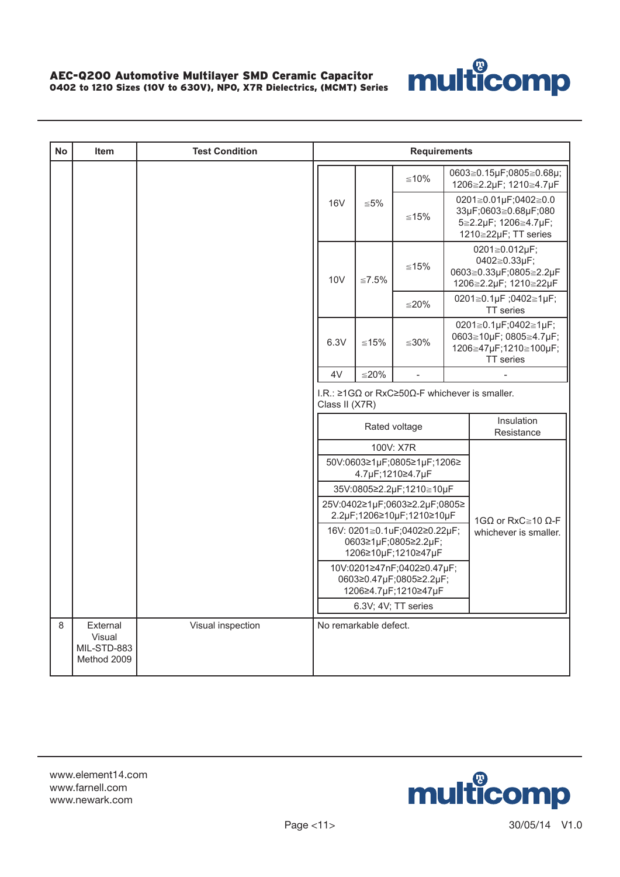

| <b>No</b> | <b>Item</b>                                      | <b>Test Condition</b> | <b>Requirements</b>                                                                              |                       |                                                                               |                                   |                                                                                              |  |
|-----------|--------------------------------------------------|-----------------------|--------------------------------------------------------------------------------------------------|-----------------------|-------------------------------------------------------------------------------|-----------------------------------|----------------------------------------------------------------------------------------------|--|
|           |                                                  |                       |                                                                                                  |                       | $≤10%$                                                                        |                                   | 0603≧0.15µF;0805≧0.68µ;<br>1206≧2.2µF; 1210≧4.7µF                                            |  |
|           |                                                  |                       | <b>16V</b>                                                                                       | ${\leq}5\%$           | ≤15%                                                                          |                                   | 0201≧0.01µF;0402≧0.0<br>33µF;0603≧0.68µF;080<br>5≧2.2µF; 1206≧4.7µF;<br>1210≧22µF; TT series |  |
|           |                                                  |                       | 10 <sub>V</sub>                                                                                  | $≤7.5\%$              | ≤15%                                                                          |                                   | 0201≧0.012µF;<br>0402≧0.33µF;<br>0603≧0.33µF;0805≧2.2µF<br>1206≧2.2µF; 1210≧22µF             |  |
|           |                                                  |                       |                                                                                                  |                       | $≤20%$                                                                        | 0201≧0.1µF;0402≧1µF;<br>TT series |                                                                                              |  |
|           |                                                  |                       | 6.3V                                                                                             | $≤15%$                | ≦ $30%$                                                                       |                                   | 0201≧0.1µF;0402≧1µF;<br>0603≧10µF; 0805≧4.7µF;<br>1206≧47µF;1210≧100µF;<br><b>TT</b> series  |  |
|           |                                                  |                       | 4V                                                                                               | $≤20%$                |                                                                               |                                   |                                                                                              |  |
|           |                                                  |                       | I.R.: $\geq 1 \text{G}\Omega$ or RxC $\geq 50 \Omega$ -F whichever is smaller.<br>Class II (X7R) |                       |                                                                               |                                   |                                                                                              |  |
|           |                                                  |                       |                                                                                                  |                       | Rated voltage                                                                 |                                   | Insulation<br>Resistance                                                                     |  |
|           |                                                  |                       |                                                                                                  |                       | 100V: X7R                                                                     |                                   |                                                                                              |  |
|           |                                                  |                       |                                                                                                  |                       | 50V:0603≥1µF;0805≥1µF;1206≥<br>4.7µF;1210≥4.7µF                               |                                   |                                                                                              |  |
|           |                                                  |                       |                                                                                                  |                       | 35V:0805≥2.2µF;1210≧10µF                                                      |                                   |                                                                                              |  |
|           |                                                  |                       |                                                                                                  |                       | 25V:0402≥1µF;0603≥2.2µF;0805≥<br>2.2µF;1206≥10µF;1210≥10µF                    |                                   | 1GΩ or RxC ≥ 10 Ω-F                                                                          |  |
|           |                                                  |                       |                                                                                                  |                       | 16V: 0201≧0.1uF;0402≥0.22µF;<br>0603≥1µF;0805≥2.2µF;<br>1206≥10µF;1210≥47µF   |                                   | whichever is smaller.                                                                        |  |
|           |                                                  |                       |                                                                                                  |                       | 10V:0201≥47nF;0402≥0.47µF;<br>0603≥0.47µF;0805≥2.2µF;<br>1206≥4.7µF;1210≥47µF |                                   |                                                                                              |  |
|           |                                                  |                       |                                                                                                  |                       | 6.3V; 4V; TT series                                                           |                                   |                                                                                              |  |
| 8         | External<br>Visual<br>MIL-STD-883<br>Method 2009 | Visual inspection     |                                                                                                  | No remarkable defect. |                                                                               |                                   |                                                                                              |  |

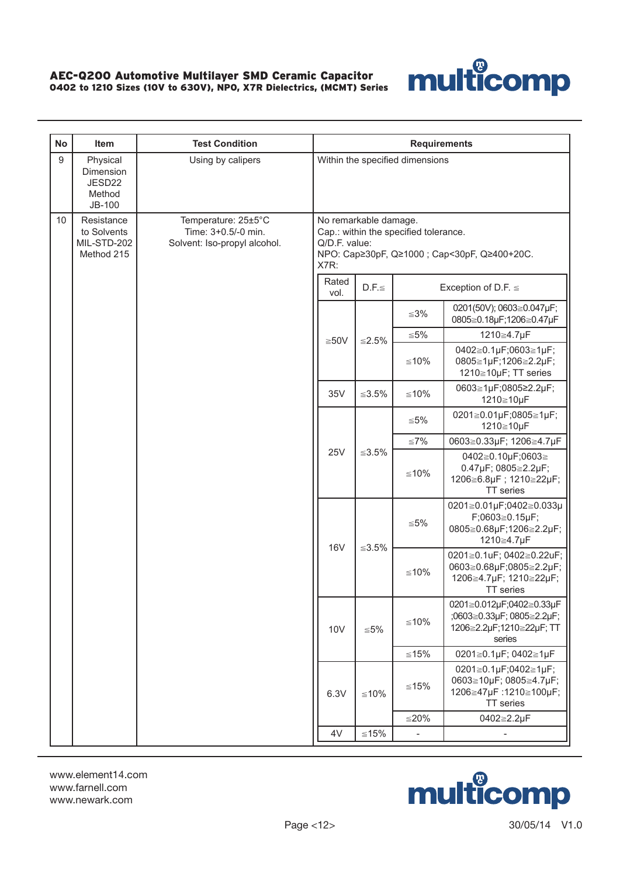

| <b>No</b> | Item                                                   | <b>Test Condition</b>                                                      | <b>Requirements</b>                                                                                                                     |             |                                 |                                                                                                   |     |                                    |
|-----------|--------------------------------------------------------|----------------------------------------------------------------------------|-----------------------------------------------------------------------------------------------------------------------------------------|-------------|---------------------------------|---------------------------------------------------------------------------------------------------|-----|------------------------------------|
| $9\,$     | Physical<br>Dimension<br>JESD22<br>Method<br>JB-100    | Using by calipers                                                          |                                                                                                                                         |             | Within the specified dimensions |                                                                                                   |     |                                    |
| 10        | Resistance<br>to Solvents<br>MIL-STD-202<br>Method 215 | Temperature: 25±5°C<br>Time: 3+0.5/-0 min.<br>Solvent: Iso-propyl alcohol. | No remarkable damage.<br>Cap.: within the specified tolerance.<br>Q/D.F. value:<br>NPO: Cap≥30pF, Q≥1000 ; Cap<30pF, Q≥400+20C.<br>X7R: |             |                                 |                                                                                                   |     |                                    |
|           |                                                        |                                                                            | Rated<br>vol.                                                                                                                           | $D.F. \leq$ |                                 | Exception of D.F. $\leq$                                                                          |     |                                    |
|           |                                                        |                                                                            |                                                                                                                                         |             | $≤3\%$                          | 0201(50V); 0603≧0.047µF;<br>0805≧0.18µF;1206≧0.47µF                                               |     |                                    |
|           |                                                        |                                                                            |                                                                                                                                         |             | ≦5%                             | 1210≧4.7µF                                                                                        |     |                                    |
|           |                                                        |                                                                            | $≥50V$                                                                                                                                  | $≤2.5%$     | $≤10%$                          | 0402≧0.1µF;0603≧1µF;<br>0805≧1µF;1206≧2.2µF;<br>1210≧10µF; TT series                              |     |                                    |
|           |                                                        |                                                                            | 35V                                                                                                                                     | $≤3.5\%$    | $≤10%$                          | 0603≧1µF;0805≥2.2µF;<br>1210≧10µF                                                                 |     |                                    |
|           |                                                        |                                                                            |                                                                                                                                         | ≤3.5%       |                                 |                                                                                                   | ≤5% | 0201≧0.01µF;0805≧1µF;<br>1210≧10µF |
|           |                                                        |                                                                            |                                                                                                                                         |             | ≦7%                             | 0603≧0.33µF; 1206≧4.7µF                                                                           |     |                                    |
|           |                                                        |                                                                            | <b>25V</b>                                                                                                                              |             | $≤10%$                          | 0402≧0.10µF;0603≧<br>0.47µF; 0805≧2.2µF;<br>1206≧6.8µF; 1210≧22µF;<br>TT series                   |     |                                    |
|           |                                                        |                                                                            | <b>16V</b>                                                                                                                              | $≤3.5\%$    | ≦5%                             | 0201≧0.01µF;0402≧0.033µ<br>$F;0603 \ge 0.15 \mu F;$<br>0805≧0.68µF;1206≧2.2µF;<br>1210≧4.7µF      |     |                                    |
|           |                                                        |                                                                            |                                                                                                                                         |             | $≤10%$                          | 0201≧0.1uF; 0402≧0.22uF;<br>0603≧0.68µF;0805≧2.2µF;<br>1206≧4.7µF; 1210≧22µF;<br><b>TT</b> series |     |                                    |
|           |                                                        |                                                                            | 10 <sub>V</sub>                                                                                                                         | ≦5%         | $≤10%$                          | 0201≧0.012µF;0402≧0.33µF<br>;0603≧0.33µF; 0805≧2.2µF;<br>1206≧2.2µF;1210≧22µF; TT<br>series       |     |                                    |
|           |                                                        |                                                                            |                                                                                                                                         |             | $≤15%$                          | 0201≧0.1µF; 0402≧1µF                                                                              |     |                                    |
|           |                                                        |                                                                            | 6.3V                                                                                                                                    | $≤10%$      | $≤15%$                          | 0201≧0.1µF;0402≧1µF;<br>0603≧10µF; 0805≧4.7µF;<br>1206≧47µF:1210≧100µF;<br>TT series              |     |                                    |
|           |                                                        |                                                                            |                                                                                                                                         |             | $≤20%$                          | 0402≧2.2µF                                                                                        |     |                                    |
|           |                                                        |                                                                            | 4V                                                                                                                                      | $\leq 15\%$ | $\overline{\phantom{a}}$        |                                                                                                   |     |                                    |

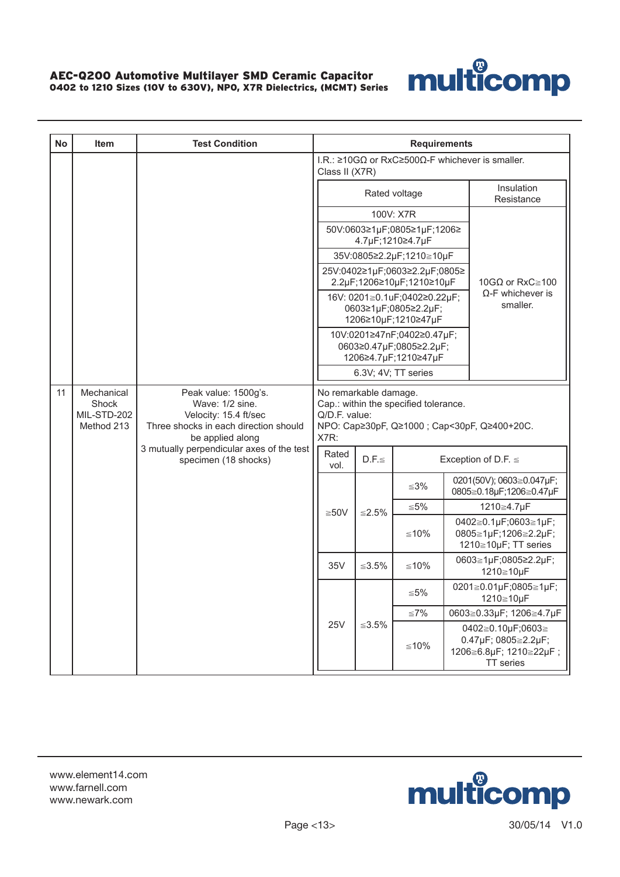

| <b>No</b> | Item                                             | <b>Test Condition</b>                                                                                                         | <b>Requirements</b>   |                                                                             |                                                 |  |                                                                                 |  |
|-----------|--------------------------------------------------|-------------------------------------------------------------------------------------------------------------------------------|-----------------------|-----------------------------------------------------------------------------|-------------------------------------------------|--|---------------------------------------------------------------------------------|--|
|           |                                                  |                                                                                                                               | Class II (X7R)        |                                                                             |                                                 |  | I.R.: $\geq$ 10GΩ or RxC $\geq$ 500Ω-F whichever is smaller.                    |  |
|           |                                                  |                                                                                                                               |                       |                                                                             | Rated voltage                                   |  | Insulation<br>Resistance                                                        |  |
|           |                                                  |                                                                                                                               |                       |                                                                             | 100V: X7R                                       |  |                                                                                 |  |
|           |                                                  |                                                                                                                               |                       |                                                                             | 50V:0603≥1µF;0805≥1µF;1206≥<br>4.7µF;1210≥4.7µF |  |                                                                                 |  |
|           |                                                  |                                                                                                                               |                       | 35V:0805≥2.2µF;1210≧10µF                                                    |                                                 |  |                                                                                 |  |
|           |                                                  |                                                                                                                               |                       | 25V:0402≥1µF;0603≥2.2µF;0805≥<br>2.2µF;1206≥10µF;1210≥10µF                  | 10GQ or RxC $\ge$ 100                           |  |                                                                                 |  |
|           |                                                  |                                                                                                                               |                       | 16V: 0201≧0.1uF;0402≥0.22µF;<br>0603≥1µF;0805≥2.2µF;<br>1206≥10µF;1210≥47µF | $\Omega$ -F whichever is<br>smaller.            |  |                                                                                 |  |
|           |                                                  |                                                                                                                               |                       | 10V:0201≥47nF;0402≥0.47µF;<br>0603≥0.47µF;0805≥2.2µF;                       |                                                 |  |                                                                                 |  |
|           |                                                  |                                                                                                                               |                       | 1206≥4.7µF;1210≥47µF<br>6.3V; 4V; TT series                                 |                                                 |  |                                                                                 |  |
| 11        | Mechanical<br>Shock<br>MIL-STD-202<br>Method 213 | Peak value: 1500g's.<br>Wave: 1/2 sine.<br>Velocity: 15.4 ft/sec<br>Three shocks in each direction should<br>be applied along | Q/D.F. value:<br>X7R: | No remarkable damage.                                                       | Cap.: within the specified tolerance.           |  | NPO: Cap≥30pF, Q≥1000 ; Cap<30pF, Q≥400+20C.                                    |  |
|           |                                                  | 3 mutually perpendicular axes of the test<br>specimen (18 shocks)                                                             | Rated<br>vol.         | $D.F. \leq$                                                                 |                                                 |  | Exception of D.F. $\leq$                                                        |  |
|           |                                                  |                                                                                                                               |                       |                                                                             | ≤3%                                             |  | 0201(50V); 0603≧0.047µF;<br>0805≧0.18µF;1206≧0.47µF                             |  |
|           |                                                  |                                                                                                                               | $≥50V$                | ≤2.5%                                                                       | ≤5%                                             |  | 1210≧4.7µF                                                                      |  |
|           |                                                  |                                                                                                                               |                       |                                                                             | ≤10%                                            |  | 0402≧0.1µF;0603≧1µF;<br>0805≧1µF;1206≧2.2µF;<br>1210≧10µF; TT series            |  |
|           |                                                  |                                                                                                                               | 35V                   | ≦3.5%                                                                       | ≤10%                                            |  | 0603≧1µF;0805≥2.2µF;<br>1210≧10µF                                               |  |
|           |                                                  |                                                                                                                               |                       |                                                                             | ≦5%                                             |  | 0201≧0.01µF;0805≧1µF;<br>1210≧10µF                                              |  |
|           |                                                  |                                                                                                                               |                       |                                                                             | ≦7%                                             |  | 0603≧0.33µF; 1206≧4.7µF                                                         |  |
|           |                                                  |                                                                                                                               |                       | <b>25V</b><br>≤3.5%                                                         |                                                 |  | 0402≧0.10µF;0603≧<br>0.47µF; 0805≧2.2µF;<br>1206≧6.8µF; 1210≧22µF;<br>TT series |  |

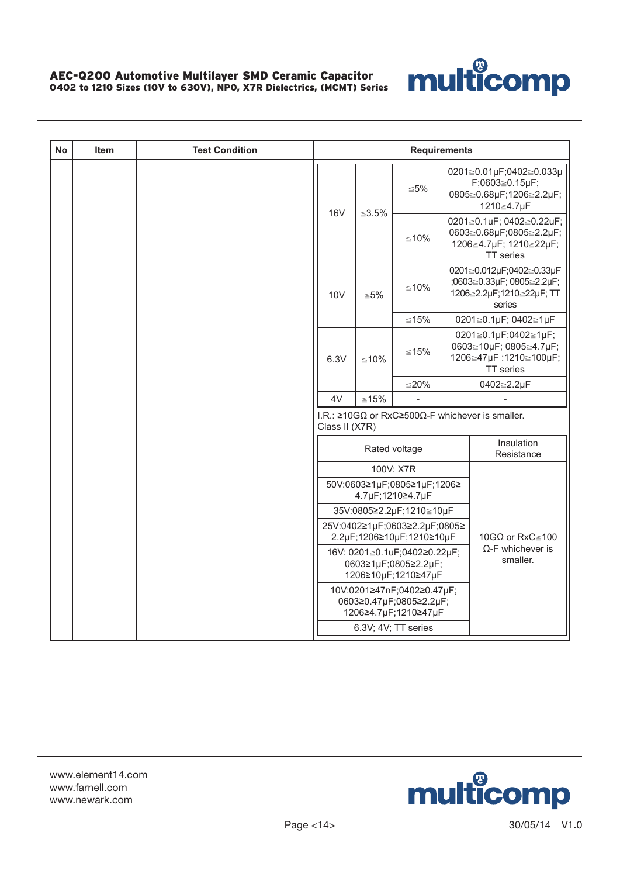

| <b>No</b> | Item | <b>Test Condition</b> | <b>Requirements</b>                                                                                                 |              |                                                                               |  |                                                                                                   |  |
|-----------|------|-----------------------|---------------------------------------------------------------------------------------------------------------------|--------------|-------------------------------------------------------------------------------|--|---------------------------------------------------------------------------------------------------|--|
|           |      |                       | <b>16V</b>                                                                                                          |              | $\leq 5\%$                                                                    |  | 0201≧0.01µF;0402≧0.033µ<br>F;0603≧0.15µF;<br>0805≧0.68µF;1206≧2.2µF;<br>1210≧4.7µF                |  |
|           |      |                       |                                                                                                                     | $\leq 3.5\%$ | $≤10%$                                                                        |  | 0201≧0.1uF; 0402≧0.22uF;<br>0603≧0.68µF;0805≧2.2µF;<br>1206≧4.7µF; 1210≧22µF;<br><b>TT</b> series |  |
|           |      |                       | 10 <sub>V</sub>                                                                                                     | $\leq 5\%$   | $≤10%$                                                                        |  | 0201≧0.012µF;0402≧0.33µF<br>;0603≧0.33µF; 0805≧2.2µF;<br>1206≧2.2µF;1210≧22µF; TT<br>series       |  |
|           |      |                       |                                                                                                                     |              | $≤15%$                                                                        |  | 0201≧0.1µF; 0402≧1µF                                                                              |  |
|           |      |                       | 6.3V                                                                                                                | $≤10%$       | ≤15%                                                                          |  | 0201≧0.1µF;0402≧1µF;<br>0603≧10µF; 0805≧4.7µF;<br>1206≧47µF:1210≧100µF;<br>TT series              |  |
|           |      |                       |                                                                                                                     |              | $≤20%$                                                                        |  | 0402≧2.2µF                                                                                        |  |
|           |      |                       | 4V                                                                                                                  | $≤15%$       |                                                                               |  |                                                                                                   |  |
|           |      |                       | Class II (X7R)                                                                                                      |              |                                                                               |  | I.R.: $\geq$ 10G $\Omega$ or RxC $\geq$ 500 $\Omega$ -F whichever is smaller.                     |  |
|           |      |                       |                                                                                                                     |              | Rated voltage                                                                 |  | Insulation<br>Resistance                                                                          |  |
|           |      |                       |                                                                                                                     |              | 100V: X7R                                                                     |  |                                                                                                   |  |
|           |      |                       |                                                                                                                     |              | 50V:0603≥1µF;0805≥1µF;1206≥<br>4.7µF;1210≥4.7µF                               |  |                                                                                                   |  |
|           |      |                       |                                                                                                                     |              | 35V:0805≥2.2µF;1210≧10µF                                                      |  |                                                                                                   |  |
|           |      |                       |                                                                                                                     |              | 25V:0402≥1µF;0603≥2.2µF;0805≥<br>2.2µF;1206≥10µF;1210≥10µF                    |  | 10GQ or RxC $\ge$ 100                                                                             |  |
|           |      |                       | $\Omega$ -F whichever is<br>16V: 0201≧0.1uF;0402≥0.22µF;<br>smaller.<br>0603≥1µF;0805≥2.2µF;<br>1206≥10µF;1210≥47µF |              |                                                                               |  |                                                                                                   |  |
|           |      |                       |                                                                                                                     |              | 10V:0201≥47nF;0402≥0.47µF;<br>0603≥0.47µF;0805≥2.2µF;<br>1206≥4.7µF;1210≥47µF |  |                                                                                                   |  |
|           |      |                       |                                                                                                                     |              | 6.3V; 4V; TT series                                                           |  |                                                                                                   |  |

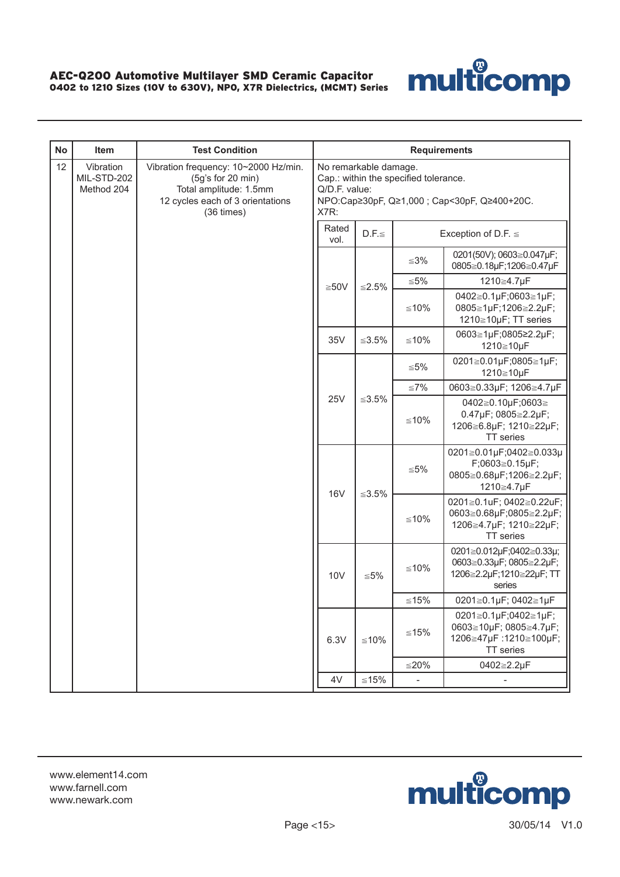

| <b>No</b> | Item                                   | <b>Test Condition</b>                                                                                                                    | <b>Requirements</b>   |                       |                                       |                                                                                                   |                                                                      |                                                                                        |
|-----------|----------------------------------------|------------------------------------------------------------------------------------------------------------------------------------------|-----------------------|-----------------------|---------------------------------------|---------------------------------------------------------------------------------------------------|----------------------------------------------------------------------|----------------------------------------------------------------------------------------|
| 12        | Vibration<br>MIL-STD-202<br>Method 204 | Vibration frequency: 10~2000 Hz/min.<br>(5q's for 20 min)<br>Total amplitude: 1.5mm<br>12 cycles each of 3 orientations<br>$(36 \times)$ | Q/D.F. value:<br>X7R: | No remarkable damage. | Cap.: within the specified tolerance. | NPO:Cap≥30pF, Q≥1,000 ; Cap<30pF, Q≥400+20C.                                                      |                                                                      |                                                                                        |
|           |                                        |                                                                                                                                          | Rated<br>vol.         | $D.F. \leq$           |                                       | Exception of D.F. $\leq$                                                                          |                                                                      |                                                                                        |
|           |                                        |                                                                                                                                          |                       |                       | ≤3%                                   | 0201(50V); 0603≧0.047µF;<br>0805≧0.18µF;1206≧0.47µF                                               |                                                                      |                                                                                        |
|           |                                        |                                                                                                                                          | $≥50V$                | $≤2.5\%$              | $\leq 5\%$                            | 1210≧4.7µF                                                                                        |                                                                      |                                                                                        |
|           |                                        |                                                                                                                                          |                       |                       |                                       | $≤10%$                                                                                            | 0402≧0.1µF;0603≧1µF;<br>0805≧1µF;1206≧2.2µF;<br>1210≧10µF; TT series |                                                                                        |
|           |                                        |                                                                                                                                          | 35V                   | $≤3.5\%$              | $≤10%$                                | 0603≧1µF;0805≥2.2µF;<br>1210≧10µF                                                                 |                                                                      |                                                                                        |
|           |                                        |                                                                                                                                          |                       |                       | ≦5%                                   | 0201≧0.01µF;0805≧1µF;<br>1210≧10µF                                                                |                                                                      |                                                                                        |
|           |                                        |                                                                                                                                          |                       |                       | ≤7%                                   | 0603≧0.33µF; 1206≧4.7µF                                                                           |                                                                      |                                                                                        |
|           |                                        |                                                                                                                                          |                       | 25V<br>≤3.5%          |                                       |                                                                                                   | $≤10%$                                                               | 0402≧0.10µF;0603≧<br>0.47µF; 0805≧2.2µF;<br>1206≧6.8µF; 1210≧22µF;<br><b>TT</b> series |
|           |                                        |                                                                                                                                          | <b>16V</b>            | $≤3.5\%$              | ≦5%                                   | 0201≧0.01µF;0402≧0.033µ<br>$F;0603 \ge 0.15 \mu F;$<br>0805≧0.68µF;1206≧2.2µF;<br>1210≧4.7µF      |                                                                      |                                                                                        |
|           |                                        |                                                                                                                                          |                       |                       | $≤10%$                                | 0201≧0.1uF; 0402≧0.22uF;<br>0603≧0.68µF;0805≧2.2µF;<br>1206≧4.7µF; 1210≧22µF;<br><b>TT</b> series |                                                                      |                                                                                        |
|           |                                        |                                                                                                                                          | <b>10V</b>            | ≦5%                   | $≤10%$                                | 0201≧0.012µF;0402≧0.33µ;<br>0603≧0.33µF; 0805≧2.2µF;<br>1206≧2.2µF;1210≧22µF; TT<br>series        |                                                                      |                                                                                        |
|           |                                        |                                                                                                                                          |                       |                       | $≤15%$                                | 0201≧0.1µF; 0402≧1µF                                                                              |                                                                      |                                                                                        |
|           |                                        |                                                                                                                                          | 6.3V                  | $≤10%$                | $≤15%$                                | 0201≧0.1µF;0402≧1µF;<br>0603≧10µF; 0805≧4.7µF;<br>1206≧47µF:1210≧100µF;<br>TT series              |                                                                      |                                                                                        |
|           |                                        |                                                                                                                                          |                       |                       | $≤20%$                                | 0402≧2.2µF                                                                                        |                                                                      |                                                                                        |
|           |                                        |                                                                                                                                          | 4V                    | $\leq 15\%$           | $\overline{\phantom{a}}$              | $\overline{\phantom{0}}$                                                                          |                                                                      |                                                                                        |

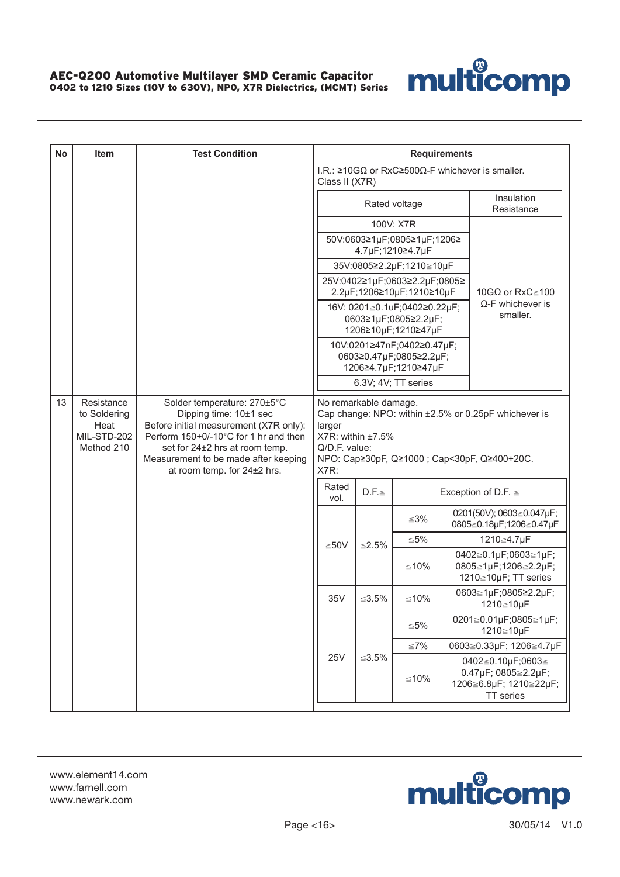

| <b>No</b> | Item                                                            | <b>Test Condition</b>                                                                                                                                                                                                                             |                                                                                                                                                                       |                            |                                            | <b>Requirements</b>                             |  |                                                                                                      |
|-----------|-----------------------------------------------------------------|---------------------------------------------------------------------------------------------------------------------------------------------------------------------------------------------------------------------------------------------------|-----------------------------------------------------------------------------------------------------------------------------------------------------------------------|----------------------------|--------------------------------------------|-------------------------------------------------|--|------------------------------------------------------------------------------------------------------|
|           |                                                                 |                                                                                                                                                                                                                                                   |                                                                                                                                                                       |                            | Class II (X7R)                             |                                                 |  | I.R.: $\geq$ 10GΩ or RxC $\geq$ 500Ω-F whichever is smaller.                                         |
|           |                                                                 |                                                                                                                                                                                                                                                   |                                                                                                                                                                       |                            |                                            | Rated voltage                                   |  | Insulation<br>Resistance                                                                             |
|           |                                                                 |                                                                                                                                                                                                                                                   |                                                                                                                                                                       |                            |                                            | 100V: X7R                                       |  |                                                                                                      |
|           |                                                                 |                                                                                                                                                                                                                                                   |                                                                                                                                                                       |                            |                                            | 50V:0603≥1µF;0805≥1µF;1206≥<br>4.7µF;1210≥4.7µF |  |                                                                                                      |
|           |                                                                 |                                                                                                                                                                                                                                                   | 35V:0805≥2.2µF;1210≧10µF<br>25V:0402≥1µF;0603≥2.2µF;0805≥<br>2.2µF;1206≥10µF;1210≥10µF<br>16V: 0201≧0.1uF;0402≥0.22µF;<br>0603≥1µF;0805≥2.2µF;<br>1206≥10µF;1210≥47µF |                            |                                            |                                                 |  |                                                                                                      |
|           |                                                                 |                                                                                                                                                                                                                                                   |                                                                                                                                                                       |                            |                                            |                                                 |  | 10GΩ or RxC≧100                                                                                      |
|           |                                                                 |                                                                                                                                                                                                                                                   |                                                                                                                                                                       |                            |                                            |                                                 |  | $\Omega$ -F whichever is<br>smaller.                                                                 |
|           |                                                                 |                                                                                                                                                                                                                                                   | 10V:0201≥47nF;0402≥0.47µF;<br>0603≥0.47µF;0805≥2.2µF;<br>1206≥4.7µF;1210≥47µF                                                                                         |                            |                                            |                                                 |  |                                                                                                      |
|           |                                                                 |                                                                                                                                                                                                                                                   |                                                                                                                                                                       |                            | 6.3V; 4V; TT series                        |                                                 |  |                                                                                                      |
| 13        | Resistance<br>to Soldering<br>Heat<br>MIL-STD-202<br>Method 210 | Solder temperature: 270±5°C<br>Dipping time: 10±1 sec<br>Before initial measurement (X7R only):<br>Perform 150+0/-10°C for 1 hr and then<br>set for 24±2 hrs at room temp.<br>Measurement to be made after keeping<br>at room temp. for 24±2 hrs. | larger<br>Q/D.F. value:<br>X7R:                                                                                                                                       |                            | No remarkable damage.<br>X7R: within ±7.5% |                                                 |  | Cap change: NPO: within ±2.5% or 0.25pF whichever is<br>NPO: Cap≥30pF, Q≥1000 ; Cap<30pF, Q≥400+20C. |
|           |                                                                 |                                                                                                                                                                                                                                                   | Rated<br>vol.                                                                                                                                                         |                            | $D.F. \leq$                                |                                                 |  | Exception of D.F. $\leq$                                                                             |
|           |                                                                 |                                                                                                                                                                                                                                                   |                                                                                                                                                                       |                            |                                            | $≤3%$                                           |  | 0201(50V); 0603≧0.047µF;<br>0805≧0.18µF;1206≧0.47µF                                                  |
|           |                                                                 |                                                                                                                                                                                                                                                   | $≥50V$                                                                                                                                                                |                            | ≤2.5%                                      | ≦5%                                             |  | 1210≧4.7µF                                                                                           |
|           |                                                                 |                                                                                                                                                                                                                                                   |                                                                                                                                                                       |                            |                                            | $≤10%$                                          |  | 0402≧0.1µF;0603≧1µF;<br>0805≧1µF;1206≧2.2µF;<br>1210≧10µF; TT series                                 |
|           |                                                                 |                                                                                                                                                                                                                                                   | 35V                                                                                                                                                                   |                            | $≤3.5\%$                                   | $≤10%$                                          |  | 0603≧1µF;0805≥2.2µF;<br>1210≧10µF                                                                    |
|           |                                                                 |                                                                                                                                                                                                                                                   |                                                                                                                                                                       |                            |                                            | ≦5%                                             |  | 0201≧0.01µF;0805≧1µF;<br>1210≧10µF                                                                   |
|           |                                                                 |                                                                                                                                                                                                                                                   |                                                                                                                                                                       |                            |                                            | $≤7\%$                                          |  | 0603≧0.33µF; 1206≧4.7µF                                                                              |
|           |                                                                 |                                                                                                                                                                                                                                                   |                                                                                                                                                                       | <b>25V</b><br>$\leq 3.5\%$ |                                            | $≤10%$                                          |  | 0402≧0.10µF;0603≧<br>0.47µF; 0805≥2.2µF;<br>1206≧6.8µF; 1210≧22µF;<br>TT series                      |

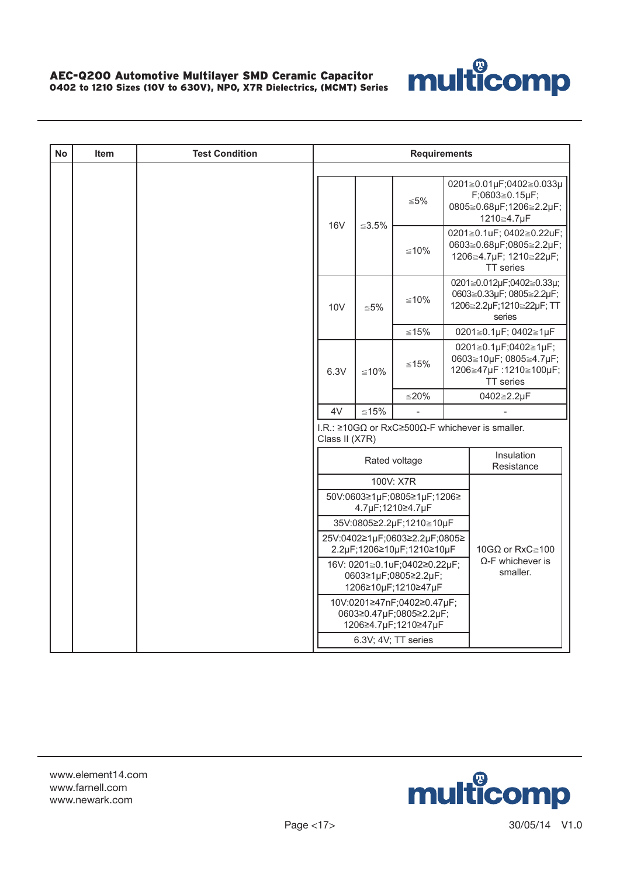

| <b>No</b> | <b>Item</b> | <b>Test Condition</b> | <b>Requirements</b>                                                                                                 |                        |                                                                               |  |                                                                                                   |  |  |
|-----------|-------------|-----------------------|---------------------------------------------------------------------------------------------------------------------|------------------------|-------------------------------------------------------------------------------|--|---------------------------------------------------------------------------------------------------|--|--|
|           |             |                       |                                                                                                                     |                        | $\leq 5\%$                                                                    |  | 0201≧0.01µF;0402≧0.033µ<br>F;0603≧0.15µF;<br>0805≧0.68µF;1206≧2.2µF;<br>1210≧4.7µF                |  |  |
|           |             |                       | <b>16V</b>                                                                                                          | ≤3.5%                  | $≤10%$                                                                        |  | 0201≧0.1uF; 0402≧0.22uF;<br>0603≧0.68µF;0805≧2.2µF;<br>1206≧4.7µF; 1210≧22µF;<br><b>TT</b> series |  |  |
|           |             |                       | 10 <sub>V</sub>                                                                                                     | $\leq 5\%$             | $≤10%$                                                                        |  | 0201≧0.012µF;0402≧0.33µ;<br>0603≥0.33µF; 0805≥2.2µF;<br>1206≧2.2µF;1210≧22µF; TT<br>series        |  |  |
|           |             |                       |                                                                                                                     |                        | $≤15%$                                                                        |  | 0201≧0.1µF; 0402≧1µF                                                                              |  |  |
|           |             |                       | 6.3V                                                                                                                | $≤10%$                 | ≤15%                                                                          |  | 0201≧0.1µF;0402≧1µF;<br>0603≧10µF; 0805≧4.7µF;<br>1206≧47µF:1210≧100µF;<br>TT series              |  |  |
|           |             |                       |                                                                                                                     |                        | $≤20%$                                                                        |  | 0402≧2.2µF                                                                                        |  |  |
|           |             |                       | 4V                                                                                                                  | $≤15%$                 |                                                                               |  |                                                                                                   |  |  |
|           |             |                       | Class II (X7R)                                                                                                      |                        |                                                                               |  | I.R.: $\geq 10 \text{G}\Omega$ or RxC $\geq 500 \Omega$ -F whichever is smaller.                  |  |  |
|           |             |                       |                                                                                                                     |                        | Rated voltage                                                                 |  | Insulation<br>Resistance                                                                          |  |  |
|           |             |                       |                                                                                                                     |                        | 100V: X7R                                                                     |  |                                                                                                   |  |  |
|           |             |                       |                                                                                                                     |                        | 50V:0603≥1µF;0805≥1µF;1206≥<br>4.7µF;1210≥4.7µF                               |  |                                                                                                   |  |  |
|           |             |                       |                                                                                                                     |                        | 35V:0805≥2.2µF;1210≧10µF                                                      |  |                                                                                                   |  |  |
|           |             |                       | 25V:0402≥1µF;0603≥2.2µF;0805≥<br>2.2µF;1206≥10µF;1210≥10µF                                                          | 10GΩ or RxC $\geq$ 100 |                                                                               |  |                                                                                                   |  |  |
|           |             |                       | $\Omega$ -F whichever is<br>16V: 0201≧0.1uF;0402≥0.22µF;<br>smaller.<br>0603≥1µF;0805≥2.2µF;<br>1206≥10µF;1210≥47µF |                        |                                                                               |  |                                                                                                   |  |  |
|           |             |                       |                                                                                                                     |                        | 10V:0201≥47nF;0402≥0.47µF;<br>0603≥0.47µF;0805≥2.2µF;<br>1206≥4.7µF;1210≥47µF |  |                                                                                                   |  |  |
|           |             |                       |                                                                                                                     |                        | 6.3V; 4V; TT series                                                           |  |                                                                                                   |  |  |

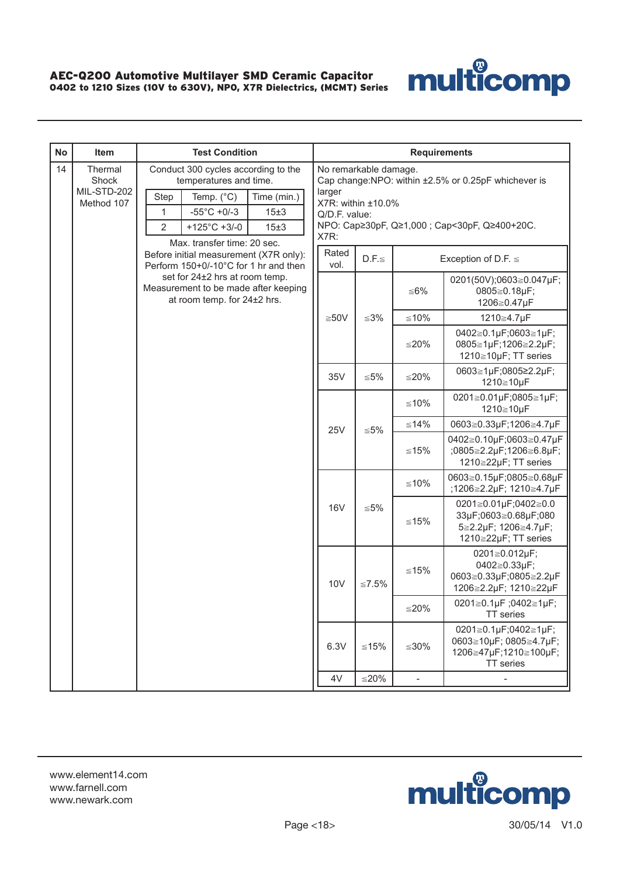

| <b>No</b> | Item                                          | <b>Test Condition</b>                                                                                                                                                                        |                                                                                                                                                                                        |                          | <b>Requirements</b> |                                                                                      |        |                                                                                              |
|-----------|-----------------------------------------------|----------------------------------------------------------------------------------------------------------------------------------------------------------------------------------------------|----------------------------------------------------------------------------------------------------------------------------------------------------------------------------------------|--------------------------|---------------------|--------------------------------------------------------------------------------------|--------|----------------------------------------------------------------------------------------------|
| 14        | Thermal<br>Shock<br>MIL-STD-202<br>Method 107 | Conduct 300 cycles according to the<br>temperatures and time.<br>Step<br>Temp. (°C)<br>Time (min.)<br>$-55^{\circ}$ C +0/-3<br>15±3<br>1<br>$\overline{2}$<br>$+125^{\circ}$ C +3/-0<br>15±3 | No remarkable damage.<br>Cap change:NPO: within ±2.5% or 0.25pF whichever is<br>larger<br>X7R: within ±10.0%<br>Q/D.F. value:<br>NPO: Cap≥30pF, Q≥1,000 ; Cap<30pF, Q≥400+20C.<br>X7R: |                          |                     |                                                                                      |        |                                                                                              |
|           |                                               | Max. transfer time: 20 sec.<br>Before initial measurement (X7R only):<br>Perform 150+0/-10°C for 1 hr and then                                                                               | Rated<br>vol.                                                                                                                                                                          | $D.F. \leq$              |                     | Exception of D.F. $\leq$                                                             |        |                                                                                              |
|           |                                               | set for 24±2 hrs at room temp.<br>Measurement to be made after keeping<br>at room temp. for 24±2 hrs.                                                                                        |                                                                                                                                                                                        |                          | ≦6%                 | 0201(50V);0603≧0.047µF;<br>0805≧0.18µF;<br>1206≧0.47µF                               |        |                                                                                              |
|           |                                               |                                                                                                                                                                                              | $≥50V$                                                                                                                                                                                 | $≤3%$                    | $≤10%$              | 1210≧4.7µF                                                                           |        |                                                                                              |
|           |                                               |                                                                                                                                                                                              |                                                                                                                                                                                        |                          | $≤20%$              | 0402≧0.1µF;0603≧1µF;<br>0805≧1µF;1206≧2.2µF;<br>1210≧10µF; TT series                 |        |                                                                                              |
|           |                                               |                                                                                                                                                                                              | 35V                                                                                                                                                                                    | $\leq 5\%$               | $≤20%$              | 0603≧1µF;0805≥2.2µF;<br>1210≧10µF                                                    |        |                                                                                              |
|           |                                               |                                                                                                                                                                                              |                                                                                                                                                                                        | $≤10%$                   |                     | 0201≧0.01µF;0805≧1µF;<br>1210≧10µF                                                   |        |                                                                                              |
|           |                                               |                                                                                                                                                                                              | <b>25V</b><br>$\leq 5\%$                                                                                                                                                               |                          | $≤14%$              | 0603≧0.33µF;1206≧4.7µF                                                               |        |                                                                                              |
|           |                                               |                                                                                                                                                                                              |                                                                                                                                                                                        |                          | $≤15%$              | 0402≧0.10µF;0603≧0.47µF<br>;0805≧2.2µF;1206≧6.8µF;<br>1210≧22µF; TT series           |        |                                                                                              |
|           |                                               |                                                                                                                                                                                              |                                                                                                                                                                                        | <b>16V</b><br>$\leq 5\%$ | $≤10%$              | 0603≧0.15µF;0805≧0.68µF<br>;1206≧2.2µF; 1210≧4.7µF                                   |        |                                                                                              |
|           |                                               |                                                                                                                                                                                              |                                                                                                                                                                                        |                          |                     |                                                                                      | $≤15%$ | 0201≧0.01µF;0402≧0.0<br>33µF;0603≧0.68µF;080<br>5≧2.2µF; 1206≧4.7µF;<br>1210≧22µF; TT series |
|           |                                               |                                                                                                                                                                                              | <b>10V</b>                                                                                                                                                                             | $\leq 7.5\%$             | $≤15%$              | 0201≧0.012µF;<br>0402≧0.33µF;<br>0603≧0.33µF;0805≧2.2µF<br>1206≧2.2µF; 1210≧22µF     |        |                                                                                              |
|           |                                               |                                                                                                                                                                                              |                                                                                                                                                                                        |                          | $≤20%$              | 0201≧0.1µF;0402≧1µF;<br>TT series                                                    |        |                                                                                              |
|           |                                               |                                                                                                                                                                                              | 6.3V                                                                                                                                                                                   | $≤15%$                   | $≤30\%$             | 0201≧0.1µF;0402≧1µF;<br>0603≧10µF; 0805≧4.7µF;<br>1206≧47µF;1210≧100µF;<br>TT series |        |                                                                                              |
|           |                                               |                                                                                                                                                                                              | 4V                                                                                                                                                                                     | $≤20%$                   | $\blacksquare$      | $\overline{\phantom{0}}$                                                             |        |                                                                                              |

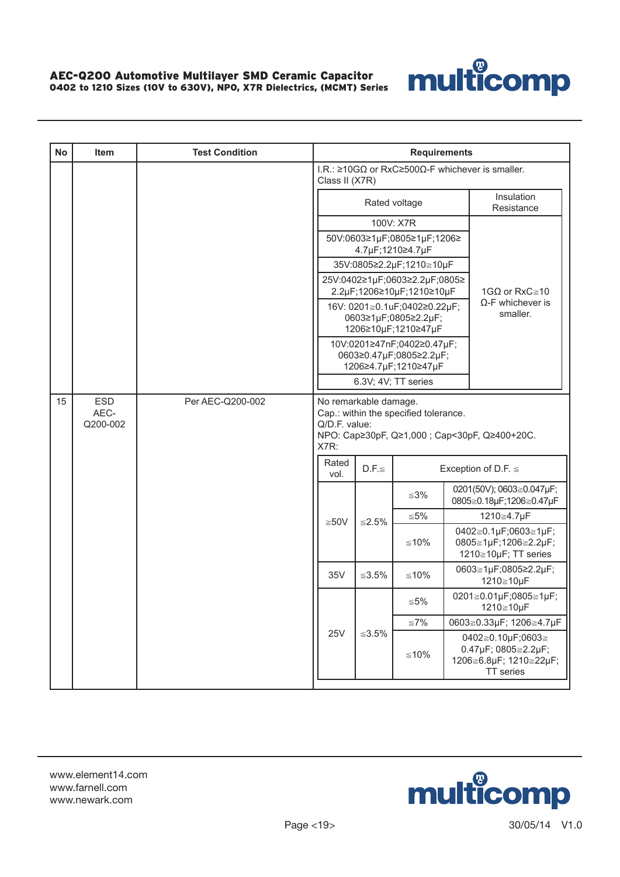

| <b>No</b> | <b>Item</b>                    | <b>Test Condition</b> |                                                                                                                                  |                                             | <b>Requirements</b>                             |                                                                                        |                                                                                  |
|-----------|--------------------------------|-----------------------|----------------------------------------------------------------------------------------------------------------------------------|---------------------------------------------|-------------------------------------------------|----------------------------------------------------------------------------------------|----------------------------------------------------------------------------------|
|           |                                |                       | Class II (X7R)                                                                                                                   |                                             |                                                 |                                                                                        | I.R.: $\geq 10 \text{G}\Omega$ or RxC $\geq 500 \Omega$ -F whichever is smaller. |
|           |                                |                       |                                                                                                                                  |                                             | Rated voltage                                   |                                                                                        | Insulation<br>Resistance                                                         |
|           |                                |                       |                                                                                                                                  |                                             | 100V: X7R                                       |                                                                                        |                                                                                  |
|           |                                |                       |                                                                                                                                  |                                             | 50V:0603≥1µF;0805≥1µF;1206≥<br>4.7µF;1210≥4.7µF |                                                                                        |                                                                                  |
|           |                                |                       |                                                                                                                                  | 35V:0805≥2.2µF;1210≧10µF                    |                                                 |                                                                                        |                                                                                  |
|           |                                |                       |                                                                                                                                  | 25V:0402≥1µF;0603≥2.2µF;0805≥               |                                                 |                                                                                        |                                                                                  |
|           |                                |                       | 2.2µF;1206≥10µF;1210≥10µF<br>16V: 0201≧0.1uF;0402≥0.22µF;                                                                        |                                             |                                                 |                                                                                        | 1GQ or RxC $\geq$ 10<br>$\Omega$ -F whichever is                                 |
|           |                                |                       |                                                                                                                                  | 0603≥1µF;0805≥2.2µF;<br>1206≥10µF;1210≥47µF | smaller.                                        |                                                                                        |                                                                                  |
|           |                                |                       | 10V:0201≥47nF;0402≥0.47µF;                                                                                                       |                                             |                                                 |                                                                                        |                                                                                  |
|           |                                |                       | 0603≥0.47µF;0805≥2.2µF;                                                                                                          |                                             |                                                 |                                                                                        |                                                                                  |
|           |                                |                       |                                                                                                                                  | 1206≥4.7µF;1210≥47µF<br>6.3V; 4V; TT series |                                                 |                                                                                        |                                                                                  |
| 15        | <b>ESD</b><br>AEC-<br>Q200-002 | Per AEC-Q200-002      | No remarkable damage.<br>Cap.: within the specified tolerance.<br>Q/D.F. value:<br>NPO: Cap≥30pF, Q≥1,000 ; Cap<30pF, Q≥400+20C. |                                             |                                                 |                                                                                        |                                                                                  |
|           |                                |                       | X7R:<br>Rated<br>vol.                                                                                                            | $D.F. \leq$                                 |                                                 |                                                                                        | Exception of D.F. $\leq$                                                         |
|           |                                |                       |                                                                                                                                  |                                             | ≦3%                                             |                                                                                        | 0201(50V); 0603≧0.047µF;<br>0805≧0.18µF;1206≧0.47µF                              |
|           |                                |                       | $≥50V$                                                                                                                           | ≤2.5%                                       | ≦5%                                             |                                                                                        | 1210≧4.7µF                                                                       |
|           |                                |                       |                                                                                                                                  |                                             | ≤10%                                            |                                                                                        | 0402≧0.1µF;0603≧1µF;<br>0805≧1µF;1206≧2.2µF;<br>1210≧10µF; TT series             |
|           |                                |                       | 35V                                                                                                                              | ≤3.5%                                       | ≤10%                                            |                                                                                        | 0603≧1µF;0805≥2.2µF;<br>1210≧10µF                                                |
|           |                                |                       |                                                                                                                                  |                                             | ≦5%                                             |                                                                                        | 0201≧0.01µF;0805≧1µF;<br>1210≧10µF                                               |
|           |                                |                       | ≦7%                                                                                                                              |                                             | 0603≧0.33µF; 1206≧4.7µF                         |                                                                                        |                                                                                  |
|           |                                | <b>25V</b><br>≤3.5%   |                                                                                                                                  | ≤10%                                        |                                                 | 0402≧0.10µF;0603≧<br>0.47µF; 0805≥2.2µF;<br>1206≧6.8µF; 1210≧22µF;<br><b>TT</b> series |                                                                                  |

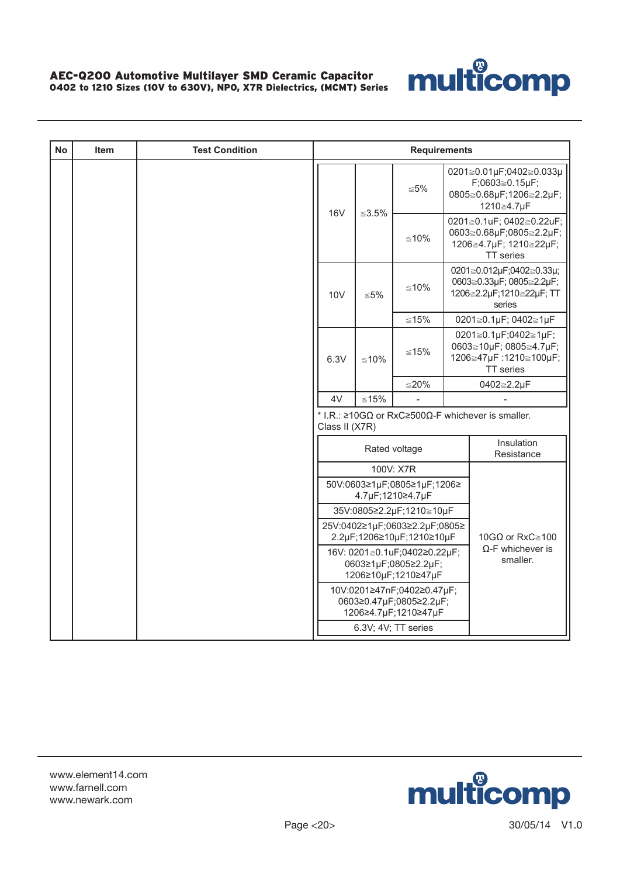

| <b>No</b> | <b>Item</b> | <b>Test Condition</b> | <b>Requirements</b>                                                                                                 |            |                                                                               |  |                                                                                            |  |  |
|-----------|-------------|-----------------------|---------------------------------------------------------------------------------------------------------------------|------------|-------------------------------------------------------------------------------|--|--------------------------------------------------------------------------------------------|--|--|
|           |             |                       | <b>16V</b>                                                                                                          | ≤3.5%      | $≤ 5\%$                                                                       |  | 0201≧0.01µF;0402≧0.033µ<br>F;0603≧0.15µF;<br>0805≧0.68µF;1206≧2.2µF;<br>1210≧4.7µF         |  |  |
|           |             |                       |                                                                                                                     |            | $≤10%$                                                                        |  | 0201≧0.1uF; 0402≧0.22uF;<br>0603≧0.68µF;0805≧2.2µF;<br>1206≧4.7µF; 1210≧22µF;<br>TT series |  |  |
|           |             |                       | 10 <sub>V</sub>                                                                                                     | $\leq 5\%$ | $≤10%$                                                                        |  | 0201≧0.012µF;0402≧0.33µ;<br>0603≧0.33µF; 0805≧2.2µF;<br>1206≧2.2µF;1210≧22µF; TT<br>series |  |  |
|           |             |                       |                                                                                                                     |            | $≤15%$                                                                        |  | 0201≧0.1µF; 0402≧1µF                                                                       |  |  |
|           |             |                       | 6.3V                                                                                                                | ≤10%       | $≤15%$                                                                        |  | 0201≧0.1µF;0402≧1µF;<br>0603≧10µF; 0805≧4.7µF;<br>1206≧47µF:1210≧100µF;<br>TT series       |  |  |
|           |             |                       |                                                                                                                     |            | $≤20%$                                                                        |  | 0402≧2.2µF                                                                                 |  |  |
|           |             |                       | 4V                                                                                                                  | $≤15%$     |                                                                               |  |                                                                                            |  |  |
|           |             |                       | Class II (X7R)                                                                                                      |            |                                                                               |  | * I.R.: $\geq$ 10GΩ or RxC $\geq$ 500Ω-F whichever is smaller.                             |  |  |
|           |             |                       |                                                                                                                     |            | Rated voltage                                                                 |  | Insulation<br>Resistance                                                                   |  |  |
|           |             |                       |                                                                                                                     |            | 100V: X7R                                                                     |  |                                                                                            |  |  |
|           |             |                       |                                                                                                                     |            | 50V:0603≥1µF;0805≥1µF;1206≥<br>4.7µF;1210≥4.7µF                               |  |                                                                                            |  |  |
|           |             |                       |                                                                                                                     |            | 35V:0805≥2.2µF;1210≧10µF                                                      |  |                                                                                            |  |  |
|           |             |                       |                                                                                                                     |            | 25V:0402≥1µF;0603≥2.2µF;0805≥<br>2.2µF;1206≥10µF;1210≥10µF                    |  | 10GQ or RxC $\ge$ 100                                                                      |  |  |
|           |             |                       | $\Omega$ -F whichever is<br>16V: 0201≧0.1uF;0402≥0.22µF;<br>smaller.<br>0603≥1µF;0805≥2.2µF;<br>1206≥10µF;1210≥47µF |            |                                                                               |  |                                                                                            |  |  |
|           |             |                       |                                                                                                                     |            | 10V:0201≥47nF;0402≥0.47µF;<br>0603≥0.47µF;0805≥2.2µF;<br>1206≥4.7µF;1210≥47µF |  |                                                                                            |  |  |
|           |             |                       |                                                                                                                     |            | 6.3V; 4V; TT series                                                           |  |                                                                                            |  |  |

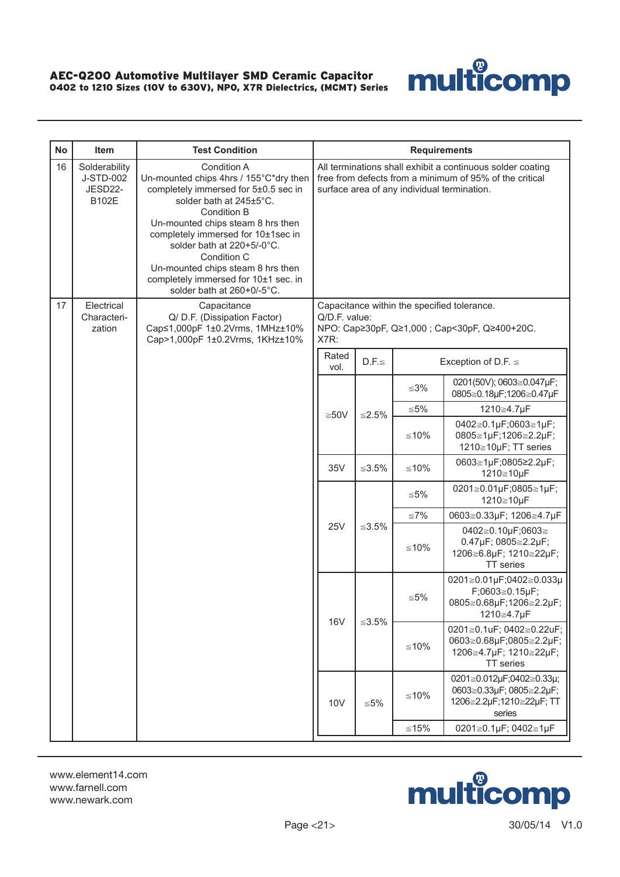

| <b>No</b> | Item                                           | <b>Test Condition</b>                                                                                                                                                                                                                                                                                                                                                             |                                                                                                                                                                      |             | <b>Requirements</b> |                                                                                              |                                                                      |  |
|-----------|------------------------------------------------|-----------------------------------------------------------------------------------------------------------------------------------------------------------------------------------------------------------------------------------------------------------------------------------------------------------------------------------------------------------------------------------|----------------------------------------------------------------------------------------------------------------------------------------------------------------------|-------------|---------------------|----------------------------------------------------------------------------------------------|----------------------------------------------------------------------|--|
| 16        | Solderability<br>J-STD-002<br>JESD22-<br>B102E | Condition A<br>Un-mounted chips 4hrs / 155°C*dry then<br>completely immersed for 5±0.5 sec in<br>solder bath at 245±5°C.<br><b>Condition B</b><br>Un-mounted chips steam 8 hrs then<br>completely immersed for 10±1sec in<br>solder bath at 220+5/-0°C.<br>Condition C<br>Un-mounted chips steam 8 hrs then<br>completely immersed for 10±1 sec. in<br>solder bath at 260+0/-5°C. | All terminations shall exhibit a continuous solder coating<br>free from defects from a minimum of 95% of the critical<br>surface area of any individual termination. |             |                     |                                                                                              |                                                                      |  |
| 17        | Electrical<br>Characteri-<br>zation            | Capacitance<br>Q/ D.F. (Dissipation Factor)<br>Cap≤1,000pF 1±0.2Vrms, 1MHz±10%<br>Cap>1,000pF 1±0.2Vrms, 1KHz±10%                                                                                                                                                                                                                                                                 | Q/D.F. value:<br>X7R:                                                                                                                                                |             |                     | Capacitance within the specified tolerance.<br>NPO: Cap≥30pF, Q≥1,000 ; Cap<30pF, Q≥400+20C. |                                                                      |  |
|           |                                                |                                                                                                                                                                                                                                                                                                                                                                                   | Rated<br>vol.                                                                                                                                                        | $D.F. \leq$ |                     | Exception of D.F. $\leq$                                                                     |                                                                      |  |
|           |                                                |                                                                                                                                                                                                                                                                                                                                                                                   |                                                                                                                                                                      |             | ≤3%                 | 0201(50V); 0603≧0.047µF;<br>0805≧0.18µF;1206≧0.47µF                                          |                                                                      |  |
|           |                                                |                                                                                                                                                                                                                                                                                                                                                                                   | $≥50V$                                                                                                                                                               | ≤2.5%       |                     | ≦5%                                                                                          | 1210≧4.7µF                                                           |  |
|           |                                                |                                                                                                                                                                                                                                                                                                                                                                                   |                                                                                                                                                                      |             |                     | $≤10%$                                                                                       | 0402≧0.1µF;0603≧1µF;<br>0805≧1µF;1206≧2.2µF;<br>1210≧10µF; TT series |  |
|           |                                                |                                                                                                                                                                                                                                                                                                                                                                                   | 35V                                                                                                                                                                  | $≤3.5\%$    | $≤10%$              | 0603≧1µF;0805≥2.2µF;<br>1210≧10µF                                                            |                                                                      |  |
|           |                                                |                                                                                                                                                                                                                                                                                                                                                                                   |                                                                                                                                                                      |             |                     | ≦5%                                                                                          | 0201≧0.01µF;0805≧1µF;<br>1210≧10µF                                   |  |
|           |                                                |                                                                                                                                                                                                                                                                                                                                                                                   |                                                                                                                                                                      |             |                     |                                                                                              |                                                                      |  |
|           |                                                |                                                                                                                                                                                                                                                                                                                                                                                   | <b>25V</b>                                                                                                                                                           | $≤3.5\%$    | $≤10%$              | 0402≧0.10µF;0603≧<br>0.47µF; 0805≧2.2µF;<br>1206≧6.8µF; 1210≧22µF;<br>TT series              |                                                                      |  |
|           |                                                |                                                                                                                                                                                                                                                                                                                                                                                   | <b>16V</b>                                                                                                                                                           | ≤3.5%       | ≦5%                 | 0201≧0.01µF;0402≧0.033µ<br>F;0603≧0.15µF;<br>0805≧0.68µF;1206≧2.2µF;<br>1210≧4.7µF           |                                                                      |  |
|           |                                                |                                                                                                                                                                                                                                                                                                                                                                                   |                                                                                                                                                                      |             | $≤10%$              | 0201≧0.1uF; 0402≧0.22uF;<br>0603≧0.68µF;0805≧2.2µF;<br>1206≧4.7µF; 1210≧22µF;<br>TT series   |                                                                      |  |
|           |                                                |                                                                                                                                                                                                                                                                                                                                                                                   | 10V                                                                                                                                                                  | $\leq 5\%$  | $≤10%$              | 0201≧0.012µF;0402≧0.33µ;<br>0603≧0.33µF; 0805≧2.2µF;<br>1206≧2.2µF;1210≧22µF; TT<br>series   |                                                                      |  |
|           |                                                |                                                                                                                                                                                                                                                                                                                                                                                   |                                                                                                                                                                      |             | $≤15%$              | 0201≧0.1µF; 0402≧1µF                                                                         |                                                                      |  |

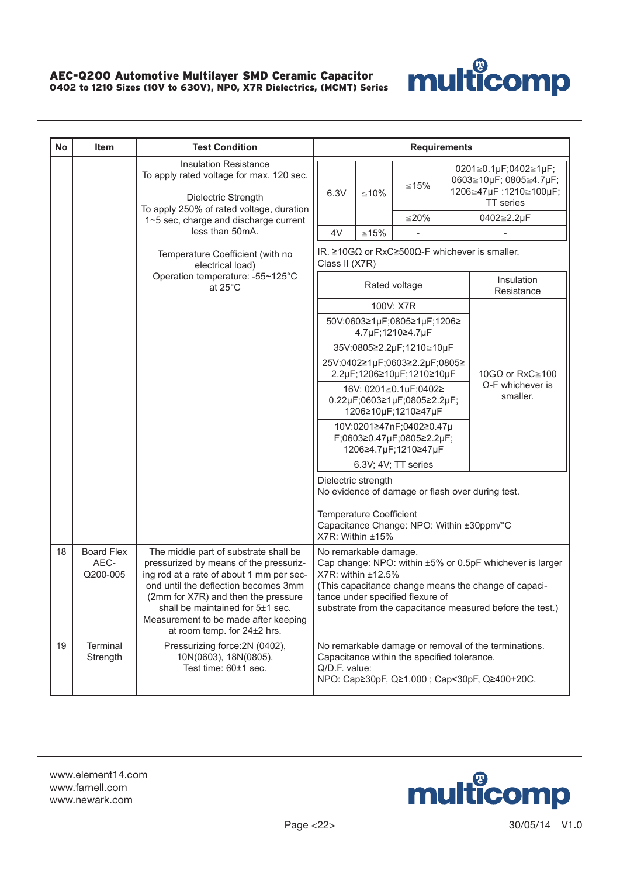

| <b>No</b> | <b>Item</b>                           | <b>Test Condition</b>                                                                                                                                                                                                                                                                                                 |                                                                                               |                                                    | <b>Requirements</b>                                   |  |                                                                                                                                                                               |
|-----------|---------------------------------------|-----------------------------------------------------------------------------------------------------------------------------------------------------------------------------------------------------------------------------------------------------------------------------------------------------------------------|-----------------------------------------------------------------------------------------------|----------------------------------------------------|-------------------------------------------------------|--|-------------------------------------------------------------------------------------------------------------------------------------------------------------------------------|
|           |                                       | <b>Insulation Resistance</b><br>To apply rated voltage for max. 120 sec.<br>Dielectric Strength<br>To apply 250% of rated voltage, duration                                                                                                                                                                           | 6.3V                                                                                          | $≤10%$                                             | ≤15%                                                  |  | 0201≧0.1µF;0402≧1µF;<br>0603≧10µF; 0805≧4.7µF;<br>1206≧47µF:1210≧100µF;<br><b>TT</b> series                                                                                   |
|           |                                       | 1~5 sec, charge and discharge current                                                                                                                                                                                                                                                                                 |                                                                                               |                                                    | $≤20%$                                                |  | 0402≧2.2µF                                                                                                                                                                    |
|           |                                       | less than 50mA.                                                                                                                                                                                                                                                                                                       | 4V                                                                                            | $≤15%$                                             |                                                       |  |                                                                                                                                                                               |
|           |                                       | Temperature Coefficient (with no<br>electrical load)                                                                                                                                                                                                                                                                  | IR. $\geq$ 10G $\Omega$ or RxC $\geq$ 500 $\Omega$ -F whichever is smaller.<br>Class II (X7R) |                                                    |                                                       |  |                                                                                                                                                                               |
|           |                                       | Operation temperature: -55~125°C<br>at $25^{\circ}$ C                                                                                                                                                                                                                                                                 | Rated voltage                                                                                 |                                                    |                                                       |  | Insulation<br>Resistance                                                                                                                                                      |
|           |                                       |                                                                                                                                                                                                                                                                                                                       |                                                                                               |                                                    | 100V: X7R                                             |  |                                                                                                                                                                               |
|           |                                       |                                                                                                                                                                                                                                                                                                                       |                                                                                               |                                                    | 50V:0603≥1µF;0805≥1µF;1206≥<br>4.7µF;1210≥4.7µF       |  |                                                                                                                                                                               |
|           |                                       |                                                                                                                                                                                                                                                                                                                       |                                                                                               |                                                    | 35V:0805≥2.2µF;1210≧10µF                              |  |                                                                                                                                                                               |
|           |                                       |                                                                                                                                                                                                                                                                                                                       |                                                                                               |                                                    | 25V:0402≥1µF;0603≥2.2µF;0805≥                         |  |                                                                                                                                                                               |
|           |                                       |                                                                                                                                                                                                                                                                                                                       |                                                                                               |                                                    | 2.2µF;1206≥10µF;1210≥10µF<br>16V: 0201≧0.1uF;0402≥    |  | 10GΩ or RxC $\geq$ 100<br>$\Omega$ -F whichever is                                                                                                                            |
|           |                                       |                                                                                                                                                                                                                                                                                                                       |                                                                                               | 0.22µF;0603≥1µF;0805≥2.2µF;<br>1206≥10µF;1210≥47µF | smaller.                                              |  |                                                                                                                                                                               |
|           |                                       |                                                                                                                                                                                                                                                                                                                       |                                                                                               |                                                    | 10V:0201≥47nF;0402≥0.47µ<br>F;0603≥0.47µF;0805≥2.2µF; |  |                                                                                                                                                                               |
|           |                                       |                                                                                                                                                                                                                                                                                                                       |                                                                                               |                                                    | 1206≥4.7µF;1210≥47µF<br>6.3V; 4V; TT series           |  |                                                                                                                                                                               |
|           |                                       |                                                                                                                                                                                                                                                                                                                       |                                                                                               | Dielectric strength                                |                                                       |  |                                                                                                                                                                               |
|           |                                       |                                                                                                                                                                                                                                                                                                                       |                                                                                               |                                                    | No evidence of damage or flash over during test.      |  |                                                                                                                                                                               |
|           |                                       |                                                                                                                                                                                                                                                                                                                       |                                                                                               | <b>Temperature Coefficient</b><br>X7R: Within ±15% | Capacitance Change: NPO: Within ±30ppm/°C             |  |                                                                                                                                                                               |
| 18        | <b>Board Flex</b><br>AEC-<br>Q200-005 | The middle part of substrate shall be<br>pressurized by means of the pressuriz-<br>ing rod at a rate of about 1 mm per sec-<br>ond until the deflection becomes 3mm<br>(2mm for X7R) and then the pressure<br>shall be maintained for 5±1 sec.<br>Measurement to be made after keeping<br>at room temp. for 24±2 hrs. |                                                                                               | No remarkable damage.<br>$X7R$ : within $±12.5%$   | tance under specified flexure of                      |  | Cap change: NPO: within ±5% or 0.5pF whichever is larger<br>(This capacitance change means the change of capaci-<br>substrate from the capacitance measured before the test.) |
| 19        | Terminal<br>Strength                  | Pressurizing force: 2N (0402),<br>10N(0603), 18N(0805).<br>Test time: 60±1 sec.                                                                                                                                                                                                                                       | Q/D.F. value:                                                                                 |                                                    | Capacitance within the specified tolerance.           |  | No remarkable damage or removal of the terminations.<br>NPO: Cap≥30pF, Q≥1,000 ; Cap<30pF, Q≥400+20C.                                                                         |

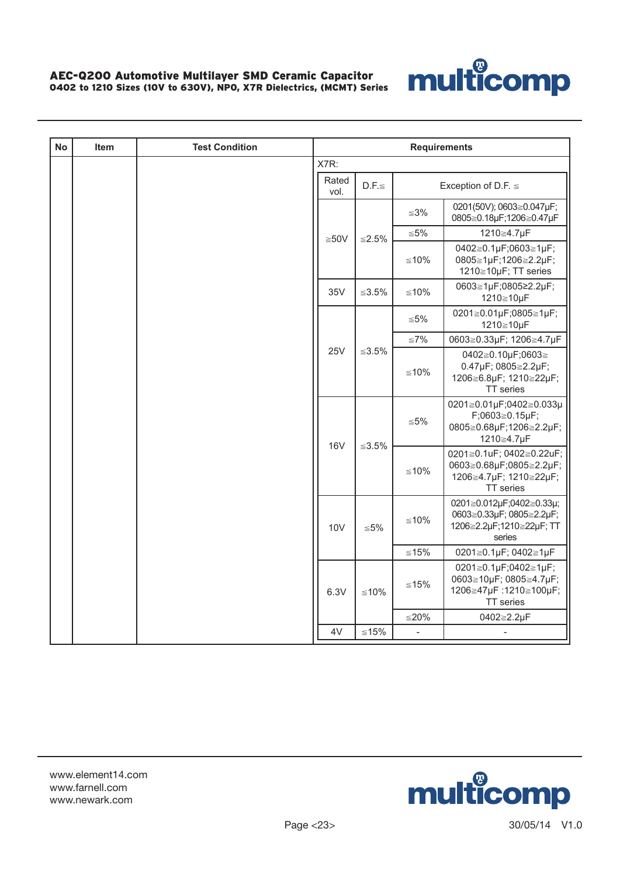

| <b>No</b> | Item | <b>Test Condition</b> | <b>Requirements</b> |             |                              |                                                                                              |
|-----------|------|-----------------------|---------------------|-------------|------------------------------|----------------------------------------------------------------------------------------------|
|           |      |                       | X7R:                |             |                              |                                                                                              |
|           |      |                       | Rated<br>vol.       | $D.F. \leq$ |                              | Exception of D.F. $\leq$                                                                     |
|           |      |                       |                     | $≤2.5%$     | $≤3%$                        | 0201(50V); 0603≧0.047µF;<br>0805≧0.18µF;1206≧0.47µF                                          |
|           |      |                       | ≥50V                |             | $\leq 5\%$                   | 1210≧4.7µF                                                                                   |
|           |      |                       |                     |             | ≤10%                         | 0402≧0.1µF;0603≧1µF;<br>0805≧1µF;1206≧2.2µF;<br>1210≧10µF; TT series                         |
|           |      |                       | 35V                 | $≤3.5\%$    | $≤10%$                       | 0603≧1µF;0805≥2.2µF;<br>1210≧10µF                                                            |
|           |      |                       |                     |             | ≦5%                          | 0201≧0.01µF;0805≧1µF;<br>1210≧10µF                                                           |
|           |      |                       | <b>25V</b>          | $≤3.5\%$    | $≤7\%$                       | 0603≧0.33µF; 1206≧4.7µF                                                                      |
|           |      |                       |                     |             | $≤10%$                       | 0402≧0.10µF;0603≧<br>0.47µF; 0805≧2.2µF;<br>1206≧6.8µF; 1210≧22µF;<br>TT series              |
|           |      |                       | 16V                 | ≤3.5%       | $\leq 5\%$                   | 0201≧0.01µF;0402≧0.033µ<br>$F;0603 \ge 0.15 \mu F;$<br>0805≧0.68µF;1206≧2.2µF;<br>1210≧4.7µF |
|           |      |                       |                     |             | ≤10%                         | 0201≧0.1uF; 0402≧0.22uF;<br>0603≧0.68µF;0805≧2.2µF;<br>1206≧4.7µF; 1210≧22µF;<br>TT series   |
|           |      |                       | <b>10V</b>          | ≦5%         | ≤10%                         | 0201≧0.012µF;0402≧0.33µ;<br>0603≧0.33µF; 0805≧2.2µF;<br>1206≧2.2µF;1210≧22µF; TT<br>series   |
|           |      |                       |                     |             | $≤15%$                       | 0201≧0.1µF; 0402≧1µF                                                                         |
|           |      |                       | 6.3V                | $≤10%$      | ≤15%                         | 0201≧0.1µF;0402≧1µF;<br>0603≧10µF; 0805≧4.7µF;<br>1206≧47µF:1210≧100µF;<br>TT series         |
|           |      |                       |                     |             | $≤20%$                       | 0402≧2.2µF                                                                                   |
|           |      |                       | 4V                  | $≤15%$      | $\qquad \qquad \blacksquare$ |                                                                                              |

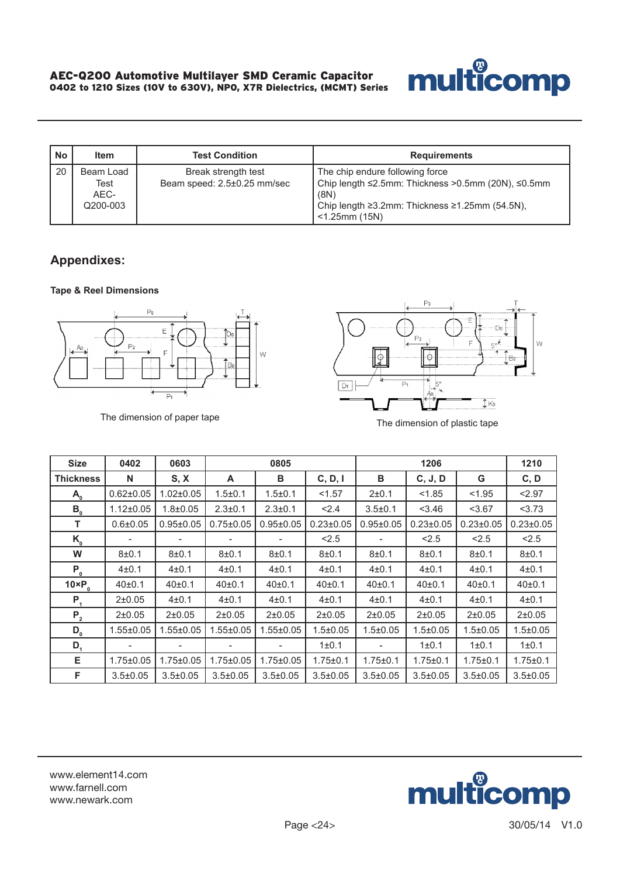

| <b>No</b> | <b>Item</b>                           | <b>Test Condition</b>                              | <b>Requirements</b>                                                                                                                                                 |
|-----------|---------------------------------------|----------------------------------------------------|---------------------------------------------------------------------------------------------------------------------------------------------------------------------|
| 20        | Beam Load<br>Test<br>AEC-<br>Q200-003 | Break strength test<br>Beam speed: 2.5±0.25 mm/sec | The chip endure following force<br>Chip length ≤2.5mm: Thickness >0.5mm (20N), ≤0.5mm<br>(8N)<br>Chip length ≥3.2mm: Thickness ≥1.25mm (54.5N),<br>$<$ 1.25mm (15N) |

# **Appendixes:**

#### **Tape & Reel Dimensions**





| <b>Size</b>                          | 0402                | 0603            |                     | 0805                |                 |                     | 1206                |                 | 1210                |
|--------------------------------------|---------------------|-----------------|---------------------|---------------------|-----------------|---------------------|---------------------|-----------------|---------------------|
| <b>Thickness</b>                     | N                   | S, X            | A                   | в                   | C, D, I         | в                   | C, J, D             | G               | C, D                |
| $\mathsf{A}_{\scriptscriptstyle{0}}$ | $0.62 \pm 0.05$     | $1.02 \pm 0.05$ | $1.5 + 0.1$         | $1.5 \pm 0.1$       | < 1.57          | 2±0.1               | < 1.85              | < 1.95          | < 2.97              |
| $B_{0}$                              | $1.12 \pm 0.05$     | $1.8 + 0.05$    | $2.3 \pm 0.1$       | $2.3 \pm 0.1$       | < 2.4           | $3.5 \pm 0.1$       | 3.46                | < 3.67          | 3.73                |
| т                                    | $0.6 \pm 0.05$      | $0.95 \pm 0.05$ | $0.75 \pm 0.05$     | $0.95 \pm 0.05$     | $0.23 \pm 0.05$ | $0.95 \pm 0.05$     | $0.23 \pm 0.05$     | $0.23 \pm 0.05$ | $0.23 \pm 0.05$     |
| $K_{_{0}}$                           |                     |                 |                     |                     | < 2.5           |                     | < 2.5               | < 2.5           | < 2.5               |
| W                                    | $8 + 0.1$           | 8±0.1           | $8 + 0.1$           | $8 + 0.1$           | $8 + 0.1$       | $8 + 0.1$           | $8 + 0.1$           | $8 + 0.1$       | $8 + 0.1$           |
| $P_{0}$                              | $4 + 0.1$           | $4 + 0.1$       | $4 + 0.1$           | $4 + 0.1$           | 4±0.1           | $4 + 0.1$           | 4±0.1               | $4 + 0.1$       | $4 + 0.1$           |
| $10 \times P_0$                      | 40 <sub>±</sub> 0.1 | 40±0.1          | 40 <sub>±</sub> 0.1 | 40 <sub>±</sub> 0.1 | 40±0.1          | 40 <sub>±</sub> 0.1 | 40 <sub>±</sub> 0.1 | 40±0.1          | 40 <sub>±</sub> 0.1 |
| $P_{1}$                              | $2+0.05$            | $4 + 0.1$       | $4 + 0.1$           | $4 + 0.1$           | $4 + 0.1$       | $4 + 0.1$           | 4±0.1               | $4 + 0.1$       | $4 + 0.1$           |
| $P_{2}$                              | $2+0.05$            | $2+0.05$        | $2+0.05$            | $2+0.05$            | 2±0.05          | $2+0.05$            | $2+0.05$            | $2+0.05$        | 2±0.05              |
| $D_{0}$                              | $1.55 \pm 0.05$     | $1.55 \pm 0.05$ | $1.55 \pm 0.05$     | $1.55 \pm 0.05$     | $1.5 \pm 0.05$  | $1.5 \pm 0.05$      | $1.5 \pm 0.05$      | $1.5 \pm 0.05$  | $1.5 \pm 0.05$      |
| $D_{1}$                              |                     |                 |                     |                     | 1±0.1           |                     | 1±0.1               | 1 ± 0.1         | 1 ± 0.1             |
| Е.                                   | $1.75 \pm 0.05$     | $1.75 \pm 0.05$ | $1.75 \pm 0.05$     | $1.75 \pm 0.05$     | $1.75 \pm 0.1$  | $1.75 \pm 0.1$      | $1.75 \pm 0.1$      | $1.75 \pm 0.1$  | $1.75 \pm 0.1$      |
| F                                    | $3.5 \pm 0.05$      | $3.5 \pm 0.05$  | $3.5 \pm 0.05$      | $3.5 \pm 0.05$      | $3.5 \pm 0.05$  | $3.5 \pm 0.05$      | $3.5 \pm 0.05$      | $3.5 \pm 0.05$  | $3.5 \pm 0.05$      |

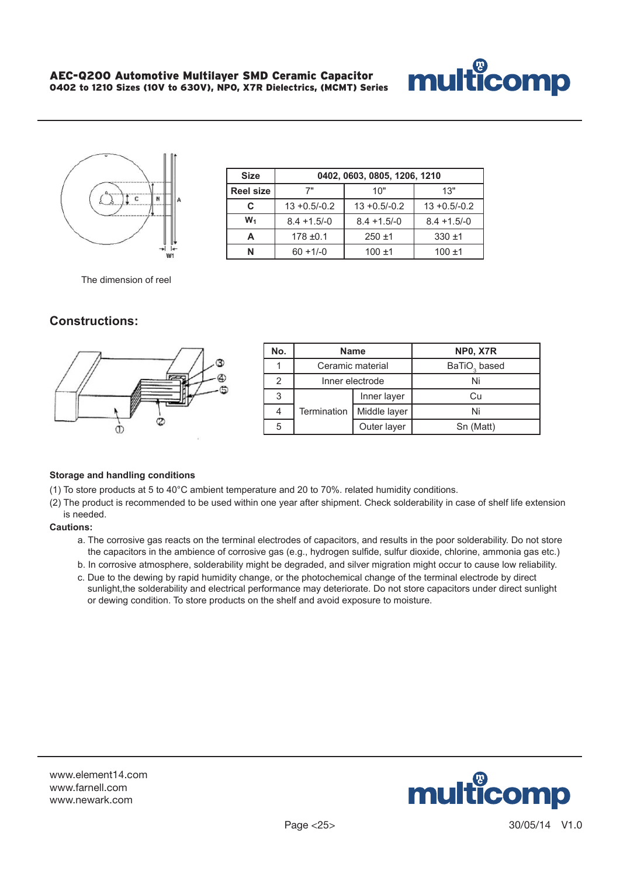



| <b>Size</b>      | 0402, 0603, 0805, 1206, 1210 |                 |                 |  |  |
|------------------|------------------------------|-----------------|-----------------|--|--|
| <b>Reel size</b> | 7"                           | 10"             | 13"             |  |  |
| C                | $13 + 0.5/-0.2$              | $13 + 0.5/-0.2$ | $13 + 0.5/-0.2$ |  |  |
| $W_1$            | $8.4 + 1.5/-0$               | $8.4 + 1.5/-0$  | $8.4 + 1.5/-0$  |  |  |
|                  | $178 + 0.1$                  | $250 + 1$       | $330 + 1$       |  |  |
| N                | $60 + 1/-0$                  | $100 + 1$       | $100 + 1$       |  |  |

The dimension of reel

### **Constructions:**



| No. | <b>Name</b>      |                 | <b>NP0, X7R</b>          |
|-----|------------------|-----------------|--------------------------|
|     | Ceramic material |                 | BaTiO <sub>3</sub> based |
|     |                  | Inner electrode | Ni                       |
|     |                  | Inner layer     | Cп                       |
|     | Termination      | Middle layer    | Ni                       |
|     |                  | Outer layer     | Sn (Matt)                |

#### **Storage and handling conditions**

(1) To store products at 5 to 40°C ambient temperature and 20 to 70%. related humidity conditions.

(2) The product is recommended to be used within one year after shipment. Check solderability in case of shelf life extension is needed.

#### **Cautions:**

- a. The corrosive gas reacts on the terminal electrodes of capacitors, and results in the poor solderability. Do not store the capacitors in the ambience of corrosive gas (e.g., hydrogen sulfide, sulfur dioxide, chlorine, ammonia gas etc.)
- b. In corrosive atmosphere, solderability might be degraded, and silver migration might occur to cause low reliability.
- c. Due to the dewing by rapid humidity change, or the photochemical change of the terminal electrode by direct sunlight, the solderability and electrical performance may deteriorate. Do not store capacitors under direct sunlight or dewing condition. To store products on the shelf and avoid exposure to moisture.